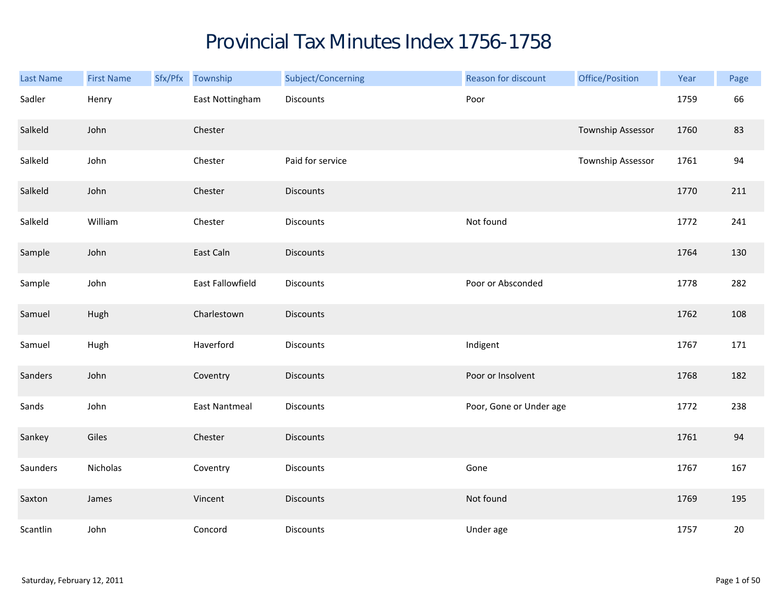## Provincial Tax Minutes Index 1756-1758

| Last Name | <b>First Name</b> | Sfx/Pfx Township     | Subject/Concerning | Reason for discount     | Office/Position   | Year | Page   |
|-----------|-------------------|----------------------|--------------------|-------------------------|-------------------|------|--------|
| Sadler    | Henry             | East Nottingham      | Discounts          | Poor                    |                   | 1759 | 66     |
| Salkeld   | John              | Chester              |                    |                         | Township Assessor | 1760 | 83     |
| Salkeld   | John              | Chester              | Paid for service   |                         | Township Assessor | 1761 | 94     |
| Salkeld   | John              | Chester              | <b>Discounts</b>   |                         |                   | 1770 | 211    |
| Salkeld   | William           | Chester              | <b>Discounts</b>   | Not found               |                   | 1772 | 241    |
| Sample    | John              | East Caln            | <b>Discounts</b>   |                         |                   | 1764 | 130    |
| Sample    | John              | East Fallowfield     | Discounts          | Poor or Absconded       |                   | 1778 | 282    |
| Samuel    | Hugh              | Charlestown          | <b>Discounts</b>   |                         |                   | 1762 | 108    |
| Samuel    | Hugh              | Haverford            | <b>Discounts</b>   | Indigent                |                   | 1767 | 171    |
| Sanders   | John              | Coventry             | <b>Discounts</b>   | Poor or Insolvent       |                   | 1768 | 182    |
| Sands     | John              | <b>East Nantmeal</b> | Discounts          | Poor, Gone or Under age |                   | 1772 | 238    |
| Sankey    | Giles             | Chester              | <b>Discounts</b>   |                         |                   | 1761 | 94     |
| Saunders  | Nicholas          | Coventry             | Discounts          | Gone                    |                   | 1767 | 167    |
| Saxton    | James             | Vincent              | <b>Discounts</b>   | Not found               |                   | 1769 | 195    |
| Scantlin  | John              | Concord              | Discounts          | Under age               |                   | 1757 | $20\,$ |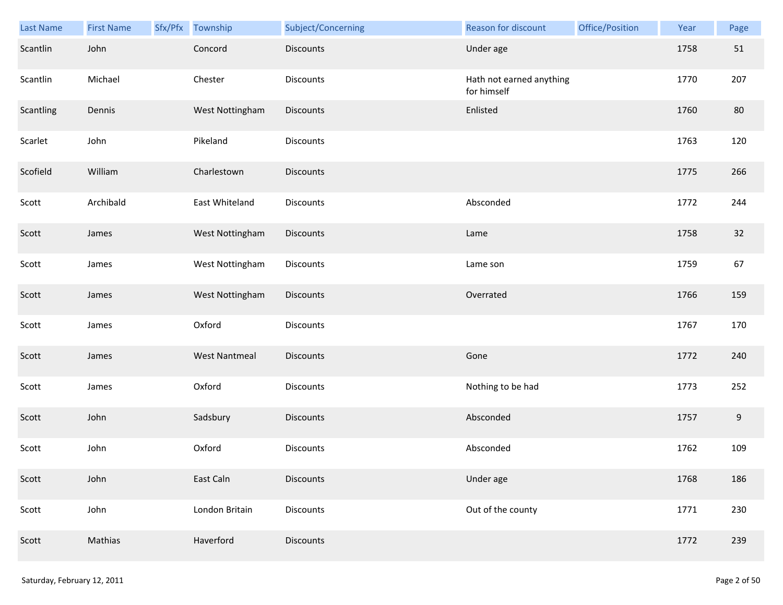| Last Name | <b>First Name</b> | Sfx/Pfx Township     | Subject/Concerning | Reason for discount                     | Office/Position | Year | Page             |
|-----------|-------------------|----------------------|--------------------|-----------------------------------------|-----------------|------|------------------|
| Scantlin  | John              | Concord              | <b>Discounts</b>   | Under age                               |                 | 1758 | 51               |
| Scantlin  | Michael           | Chester              | <b>Discounts</b>   | Hath not earned anything<br>for himself |                 | 1770 | 207              |
| Scantling | Dennis            | West Nottingham      | Discounts          | Enlisted                                |                 | 1760 | 80               |
| Scarlet   | John              | Pikeland             | Discounts          |                                         |                 | 1763 | 120              |
| Scofield  | William           | Charlestown          | <b>Discounts</b>   |                                         |                 | 1775 | 266              |
| Scott     | Archibald         | East Whiteland       | Discounts          | Absconded                               |                 | 1772 | 244              |
| Scott     | James             | West Nottingham      | Discounts          | Lame                                    |                 | 1758 | 32               |
| Scott     | James             | West Nottingham      | Discounts          | Lame son                                |                 | 1759 | 67               |
| Scott     | James             | West Nottingham      | Discounts          | Overrated                               |                 | 1766 | 159              |
| Scott     | James             | Oxford               | Discounts          |                                         |                 | 1767 | 170              |
| Scott     | James             | <b>West Nantmeal</b> | Discounts          | Gone                                    |                 | 1772 | 240              |
| Scott     | James             | Oxford               | Discounts          | Nothing to be had                       |                 | 1773 | 252              |
| Scott     | John              | Sadsbury             | Discounts          | Absconded                               |                 | 1757 | $\boldsymbol{9}$ |
| Scott     | John              | Oxford               | Discounts          | Absconded                               |                 | 1762 | 109              |
| Scott     | John              | East Caln            | <b>Discounts</b>   | Under age                               |                 | 1768 | 186              |
| Scott     | John              | London Britain       | Discounts          | Out of the county                       |                 | 1771 | 230              |
| Scott     | Mathias           | Haverford            | Discounts          |                                         |                 | 1772 | 239              |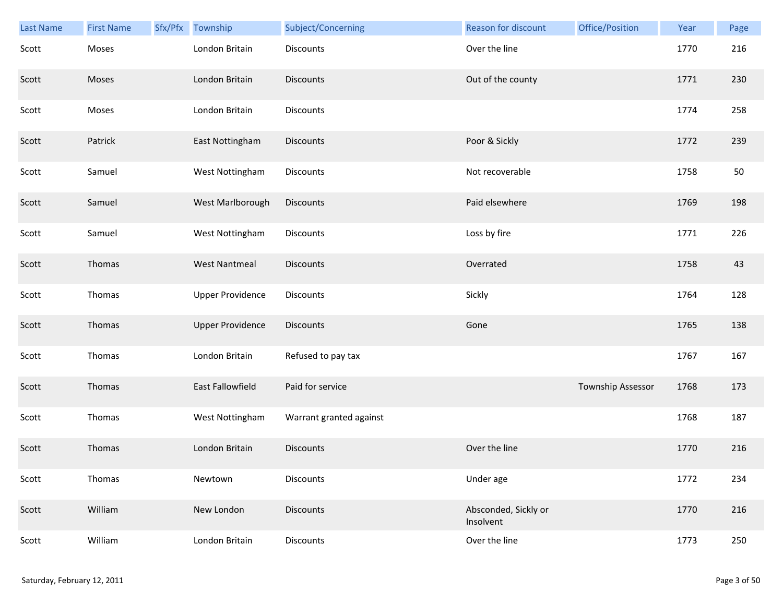| Last Name | <b>First Name</b> | Sfx/Pfx | Township                | Subject/Concerning      | <b>Reason for discount</b>        | Office/Position   | Year | Page |
|-----------|-------------------|---------|-------------------------|-------------------------|-----------------------------------|-------------------|------|------|
| Scott     | Moses             |         | London Britain          | Discounts               | Over the line                     |                   | 1770 | 216  |
| Scott     | Moses             |         | London Britain          | <b>Discounts</b>        | Out of the county                 |                   | 1771 | 230  |
| Scott     | Moses             |         | London Britain          | Discounts               |                                   |                   | 1774 | 258  |
| Scott     | Patrick           |         | East Nottingham         | Discounts               | Poor & Sickly                     |                   | 1772 | 239  |
| Scott     | Samuel            |         | West Nottingham         | Discounts               | Not recoverable                   |                   | 1758 | 50   |
| Scott     | Samuel            |         | West Marlborough        | Discounts               | Paid elsewhere                    |                   | 1769 | 198  |
| Scott     | Samuel            |         | West Nottingham         | Discounts               | Loss by fire                      |                   | 1771 | 226  |
| Scott     | Thomas            |         | <b>West Nantmeal</b>    | <b>Discounts</b>        | Overrated                         |                   | 1758 | 43   |
| Scott     | Thomas            |         | <b>Upper Providence</b> | <b>Discounts</b>        | Sickly                            |                   | 1764 | 128  |
| Scott     | Thomas            |         | <b>Upper Providence</b> | <b>Discounts</b>        | Gone                              |                   | 1765 | 138  |
| Scott     | Thomas            |         | London Britain          | Refused to pay tax      |                                   |                   | 1767 | 167  |
| Scott     | Thomas            |         | East Fallowfield        | Paid for service        |                                   | Township Assessor | 1768 | 173  |
| Scott     | Thomas            |         | West Nottingham         | Warrant granted against |                                   |                   | 1768 | 187  |
| Scott     | Thomas            |         | London Britain          | <b>Discounts</b>        | Over the line                     |                   | 1770 | 216  |
| Scott     | Thomas            |         | Newtown                 | Discounts               | Under age                         |                   | 1772 | 234  |
| Scott     | William           |         | New London              | <b>Discounts</b>        | Absconded, Sickly or<br>Insolvent |                   | 1770 | 216  |
| Scott     | William           |         | London Britain          | Discounts               | Over the line                     |                   | 1773 | 250  |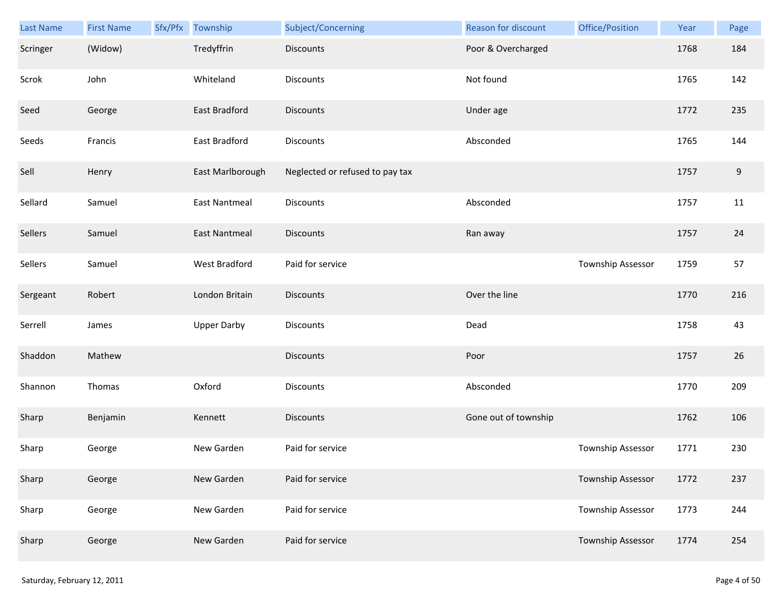| Last Name | <b>First Name</b> | Sfx/Pfx Township     | Subject/Concerning              | Reason for discount  | Office/Position   | Year | Page  |
|-----------|-------------------|----------------------|---------------------------------|----------------------|-------------------|------|-------|
| Scringer  | (Widow)           | Tredyffrin           | Discounts                       | Poor & Overcharged   |                   | 1768 | 184   |
| Scrok     | John              | Whiteland            | Discounts                       | Not found            |                   | 1765 | 142   |
| Seed      | George            | East Bradford        | <b>Discounts</b>                | Under age            |                   | 1772 | 235   |
| Seeds     | Francis           | East Bradford        | <b>Discounts</b>                | Absconded            |                   | 1765 | 144   |
| Sell      | Henry             | East Marlborough     | Neglected or refused to pay tax |                      |                   | 1757 | $9\,$ |
| Sellard   | Samuel            | <b>East Nantmeal</b> | Discounts                       | Absconded            |                   | 1757 | 11    |
| Sellers   | Samuel            | <b>East Nantmeal</b> | <b>Discounts</b>                | Ran away             |                   | 1757 | 24    |
| Sellers   | Samuel            | West Bradford        | Paid for service                |                      | Township Assessor | 1759 | 57    |
| Sergeant  | Robert            | London Britain       | <b>Discounts</b>                | Over the line        |                   | 1770 | 216   |
| Serrell   | James             | <b>Upper Darby</b>   | Discounts                       | Dead                 |                   | 1758 | 43    |
| Shaddon   | Mathew            |                      | Discounts                       | Poor                 |                   | 1757 | 26    |
| Shannon   | Thomas            | Oxford               | Discounts                       | Absconded            |                   | 1770 | 209   |
| Sharp     | Benjamin          | Kennett              | <b>Discounts</b>                | Gone out of township |                   | 1762 | 106   |
| Sharp     | George            | New Garden           | Paid for service                |                      | Township Assessor | 1771 | 230   |
| Sharp     | George            | New Garden           | Paid for service                |                      | Township Assessor | 1772 | 237   |
| Sharp     | George            | New Garden           | Paid for service                |                      | Township Assessor | 1773 | 244   |
| Sharp     | George            | New Garden           | Paid for service                |                      | Township Assessor | 1774 | 254   |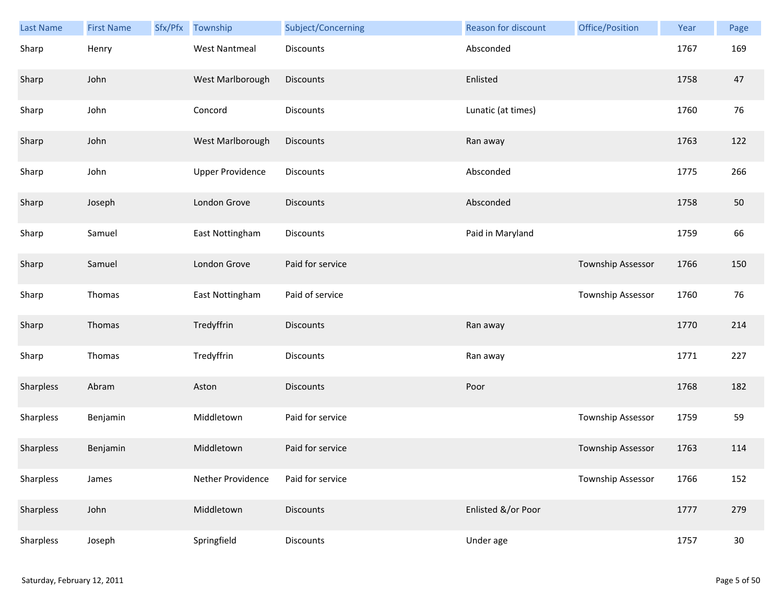| <b>Last Name</b> | <b>First Name</b> | Sfx/Pfx | Township                | Subject/Concerning | <b>Reason for discount</b> | Office/Position   | Year | Page   |
|------------------|-------------------|---------|-------------------------|--------------------|----------------------------|-------------------|------|--------|
| Sharp            | Henry             |         | West Nantmeal           | Discounts          | Absconded                  |                   | 1767 | 169    |
| Sharp            | John              |         | West Marlborough        | Discounts          | Enlisted                   |                   | 1758 | 47     |
| Sharp            | John              |         | Concord                 | Discounts          | Lunatic (at times)         |                   | 1760 | 76     |
| Sharp            | John              |         | West Marlborough        | <b>Discounts</b>   | Ran away                   |                   | 1763 | 122    |
| Sharp            | John              |         | <b>Upper Providence</b> | <b>Discounts</b>   | Absconded                  |                   | 1775 | 266    |
| Sharp            | Joseph            |         | London Grove            | <b>Discounts</b>   | Absconded                  |                   | 1758 | 50     |
| Sharp            | Samuel            |         | East Nottingham         | Discounts          | Paid in Maryland           |                   | 1759 | 66     |
| Sharp            | Samuel            |         | London Grove            | Paid for service   |                            | Township Assessor | 1766 | 150    |
| Sharp            | Thomas            |         | East Nottingham         | Paid of service    |                            | Township Assessor | 1760 | 76     |
| Sharp            | Thomas            |         | Tredyffrin              | <b>Discounts</b>   | Ran away                   |                   | 1770 | 214    |
| Sharp            | Thomas            |         | Tredyffrin              | Discounts          | Ran away                   |                   | 1771 | 227    |
| Sharpless        | Abram             |         | Aston                   | Discounts          | Poor                       |                   | 1768 | 182    |
| Sharpless        | Benjamin          |         | Middletown              | Paid for service   |                            | Township Assessor | 1759 | 59     |
| Sharpless        | Benjamin          |         | Middletown              | Paid for service   |                            | Township Assessor | 1763 | 114    |
| Sharpless        | James             |         | Nether Providence       | Paid for service   |                            | Township Assessor | 1766 | 152    |
| Sharpless        | John              |         | Middletown              | <b>Discounts</b>   | Enlisted &/or Poor         |                   | 1777 | 279    |
| Sharpless        | Joseph            |         | Springfield             | Discounts          | Under age                  |                   | 1757 | $30\,$ |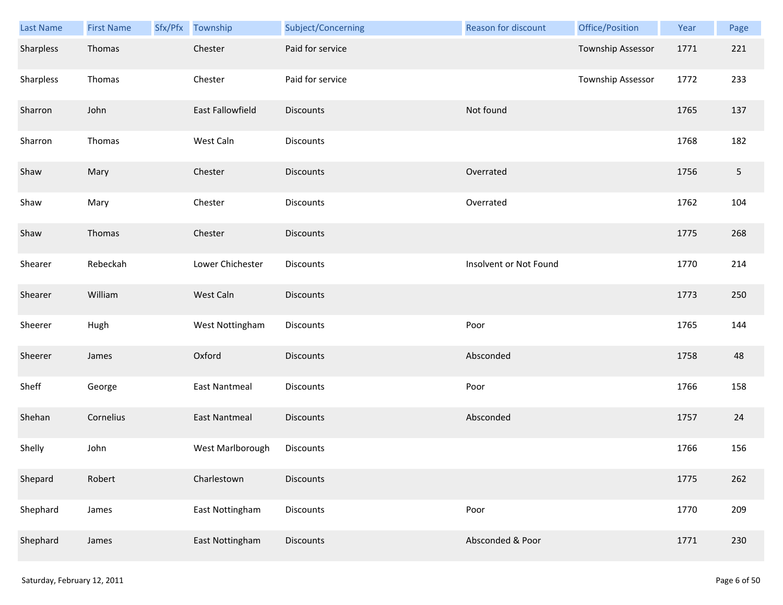| Last Name | <b>First Name</b> | Sfx/Pfx Township     | Subject/Concerning | Reason for discount    | Office/Position   | Year | Page       |
|-----------|-------------------|----------------------|--------------------|------------------------|-------------------|------|------------|
| Sharpless | Thomas            | Chester              | Paid for service   |                        | Township Assessor | 1771 | 221        |
| Sharpless | Thomas            | Chester              | Paid for service   |                        | Township Assessor | 1772 | 233        |
| Sharron   | John              | East Fallowfield     | Discounts          | Not found              |                   | 1765 | 137        |
| Sharron   | Thomas            | West Caln            | Discounts          |                        |                   | 1768 | 182        |
| Shaw      | Mary              | Chester              | <b>Discounts</b>   | Overrated              |                   | 1756 | $\sqrt{5}$ |
| Shaw      | Mary              | Chester              | Discounts          | Overrated              |                   | 1762 | 104        |
| Shaw      | Thomas            | Chester              | <b>Discounts</b>   |                        |                   | 1775 | 268        |
| Shearer   | Rebeckah          | Lower Chichester     | Discounts          | Insolvent or Not Found |                   | 1770 | 214        |
| Shearer   | William           | West Caln            | <b>Discounts</b>   |                        |                   | 1773 | 250        |
| Sheerer   | Hugh              | West Nottingham      | Discounts          | Poor                   |                   | 1765 | 144        |
| Sheerer   | James             | Oxford               | <b>Discounts</b>   | Absconded              |                   | 1758 | 48         |
| Sheff     | George            | <b>East Nantmeal</b> | Discounts          | Poor                   |                   | 1766 | 158        |
| Shehan    | Cornelius         | <b>East Nantmeal</b> | <b>Discounts</b>   | Absconded              |                   | 1757 | 24         |
| Shelly    | John              | West Marlborough     | Discounts          |                        |                   | 1766 | 156        |
| Shepard   | Robert            | Charlestown          | <b>Discounts</b>   |                        |                   | 1775 | 262        |
| Shephard  | James             | East Nottingham      | Discounts          | Poor                   |                   | 1770 | 209        |
| Shephard  | James             | East Nottingham      | Discounts          | Absconded & Poor       |                   | 1771 | 230        |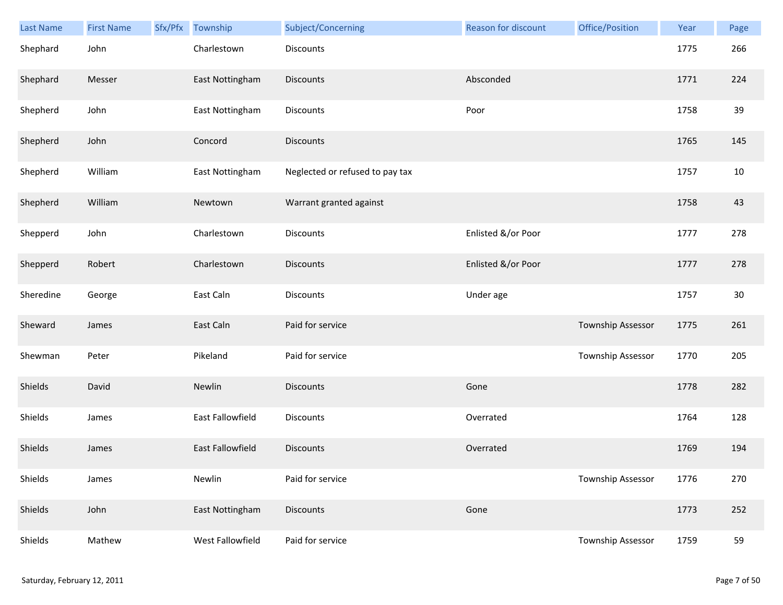| Last Name | <b>First Name</b> | Sfx/Pfx | Township                | Subject/Concerning              | <b>Reason for discount</b> | Office/Position          | Year | Page   |
|-----------|-------------------|---------|-------------------------|---------------------------------|----------------------------|--------------------------|------|--------|
| Shephard  | John              |         | Charlestown             | <b>Discounts</b>                |                            |                          | 1775 | 266    |
| Shephard  | Messer            |         | East Nottingham         | Discounts                       | Absconded                  |                          | 1771 | 224    |
| Shepherd  | John              |         | East Nottingham         | Discounts                       | Poor                       |                          | 1758 | 39     |
| Shepherd  | John              |         | Concord                 | <b>Discounts</b>                |                            |                          | 1765 | 145    |
| Shepherd  | William           |         | East Nottingham         | Neglected or refused to pay tax |                            |                          | 1757 | $10\,$ |
| Shepherd  | William           |         | Newtown                 | Warrant granted against         |                            |                          | 1758 | 43     |
| Shepperd  | John              |         | Charlestown             | Discounts                       | Enlisted &/or Poor         |                          | 1777 | 278    |
| Shepperd  | Robert            |         | Charlestown             | <b>Discounts</b>                | Enlisted &/or Poor         |                          | 1777 | 278    |
| Sheredine | George            |         | East Caln               | <b>Discounts</b>                | Under age                  |                          | 1757 | 30     |
| Sheward   | James             |         | East Caln               | Paid for service                |                            | Township Assessor        | 1775 | 261    |
| Shewman   | Peter             |         | Pikeland                | Paid for service                |                            | <b>Township Assessor</b> | 1770 | 205    |
| Shields   | David             |         | Newlin                  | Discounts                       | Gone                       |                          | 1778 | 282    |
| Shields   | James             |         | East Fallowfield        | Discounts                       | Overrated                  |                          | 1764 | 128    |
| Shields   | James             |         | <b>East Fallowfield</b> | <b>Discounts</b>                | Overrated                  |                          | 1769 | 194    |
| Shields   | James             |         | Newlin                  | Paid for service                |                            | Township Assessor        | 1776 | 270    |
| Shields   | John              |         | East Nottingham         | <b>Discounts</b>                | Gone                       |                          | 1773 | 252    |
| Shields   | Mathew            |         | West Fallowfield        | Paid for service                |                            | Township Assessor        | 1759 | 59     |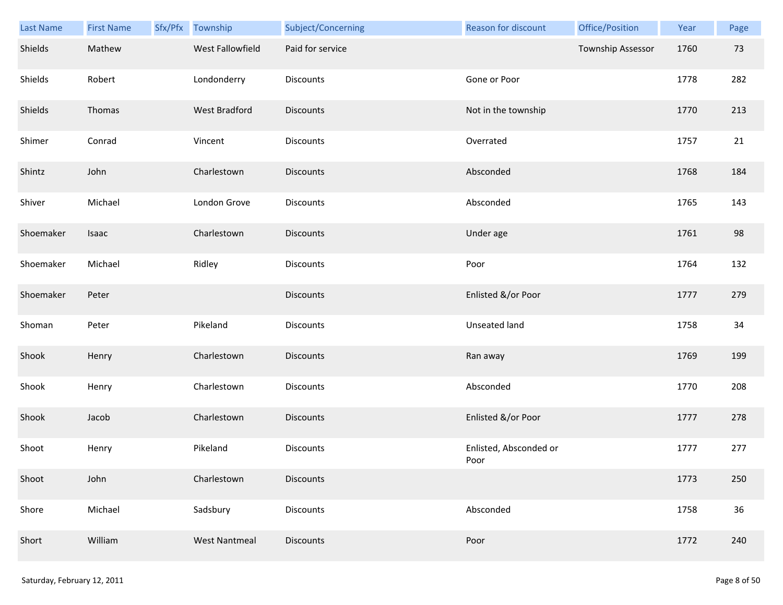| <b>Last Name</b> | <b>First Name</b> | Sfx/Pfx Township     | Subject/Concerning | Reason for discount            | Office/Position   | Year | Page |
|------------------|-------------------|----------------------|--------------------|--------------------------------|-------------------|------|------|
| Shields          | Mathew            | West Fallowfield     | Paid for service   |                                | Township Assessor | 1760 | 73   |
| Shields          | Robert            | Londonderry          | Discounts          | Gone or Poor                   |                   | 1778 | 282  |
| Shields          | Thomas            | West Bradford        | <b>Discounts</b>   | Not in the township            |                   | 1770 | 213  |
| Shimer           | Conrad            | Vincent              | <b>Discounts</b>   | Overrated                      |                   | 1757 | 21   |
| Shintz           | John              | Charlestown          | <b>Discounts</b>   | Absconded                      |                   | 1768 | 184  |
| Shiver           | Michael           | London Grove         | <b>Discounts</b>   | Absconded                      |                   | 1765 | 143  |
| Shoemaker        | Isaac             | Charlestown          | <b>Discounts</b>   | Under age                      |                   | 1761 | 98   |
| Shoemaker        | Michael           | Ridley               | Discounts          | Poor                           |                   | 1764 | 132  |
| Shoemaker        | Peter             |                      | <b>Discounts</b>   | Enlisted &/or Poor             |                   | 1777 | 279  |
| Shoman           | Peter             | Pikeland             | Discounts          | Unseated land                  |                   | 1758 | 34   |
| Shook            | Henry             | Charlestown          | <b>Discounts</b>   | Ran away                       |                   | 1769 | 199  |
| Shook            | Henry             | Charlestown          | Discounts          | Absconded                      |                   | 1770 | 208  |
| Shook            | Jacob             | Charlestown          | Discounts          | Enlisted &/or Poor             |                   | 1777 | 278  |
| Shoot            | Henry             | Pikeland             | Discounts          | Enlisted, Absconded or<br>Poor |                   | 1777 | 277  |
| Shoot            | John              | Charlestown          | <b>Discounts</b>   |                                |                   | 1773 | 250  |
| Shore            | Michael           | Sadsbury             | <b>Discounts</b>   | Absconded                      |                   | 1758 | 36   |
| Short            | William           | <b>West Nantmeal</b> | <b>Discounts</b>   | Poor                           |                   | 1772 | 240  |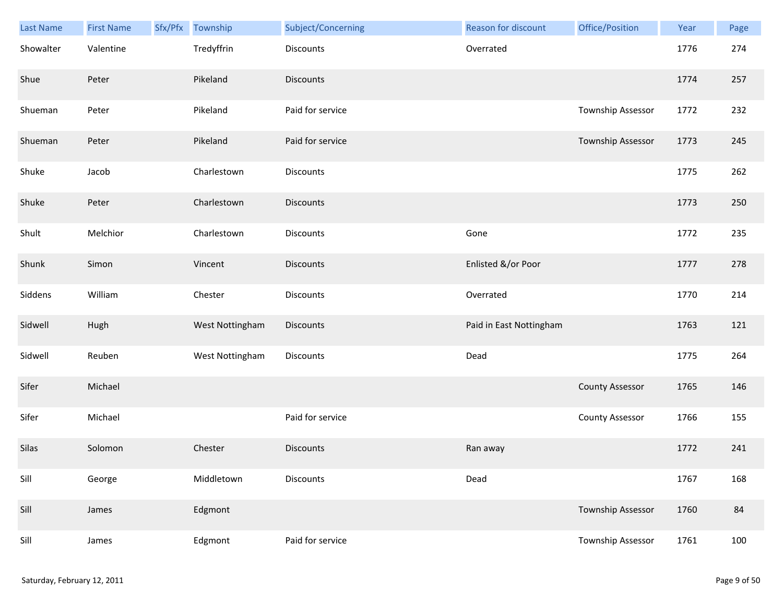| Last Name | <b>First Name</b> | Sfx/Pfx | Township        | Subject/Concerning | <b>Reason for discount</b> | Office/Position        | Year | Page |
|-----------|-------------------|---------|-----------------|--------------------|----------------------------|------------------------|------|------|
| Showalter | Valentine         |         | Tredyffrin      | Discounts          | Overrated                  |                        | 1776 | 274  |
| Shue      | Peter             |         | Pikeland        | <b>Discounts</b>   |                            |                        | 1774 | 257  |
| Shueman   | Peter             |         | Pikeland        | Paid for service   |                            | Township Assessor      | 1772 | 232  |
| Shueman   | Peter             |         | Pikeland        | Paid for service   |                            | Township Assessor      | 1773 | 245  |
| Shuke     | Jacob             |         | Charlestown     | Discounts          |                            |                        | 1775 | 262  |
| Shuke     | Peter             |         | Charlestown     | <b>Discounts</b>   |                            |                        | 1773 | 250  |
| Shult     | Melchior          |         | Charlestown     | Discounts          | Gone                       |                        | 1772 | 235  |
| Shunk     | Simon             |         | Vincent         | <b>Discounts</b>   | Enlisted &/or Poor         |                        | 1777 | 278  |
| Siddens   | William           |         | Chester         | Discounts          | Overrated                  |                        | 1770 | 214  |
| Sidwell   | Hugh              |         | West Nottingham | <b>Discounts</b>   | Paid in East Nottingham    |                        | 1763 | 121  |
| Sidwell   | Reuben            |         | West Nottingham | Discounts          | Dead                       |                        | 1775 | 264  |
| Sifer     | Michael           |         |                 |                    |                            | <b>County Assessor</b> | 1765 | 146  |
| Sifer     | Michael           |         |                 | Paid for service   |                            | <b>County Assessor</b> | 1766 | 155  |
| Silas     | Solomon           |         | Chester         | <b>Discounts</b>   | Ran away                   |                        | 1772 | 241  |
| Sill      | George            |         | Middletown      | <b>Discounts</b>   | Dead                       |                        | 1767 | 168  |
| Sill      | James             |         | Edgmont         |                    |                            | Township Assessor      | 1760 | 84   |
| Sill      | James             |         | Edgmont         | Paid for service   |                            | Township Assessor      | 1761 | 100  |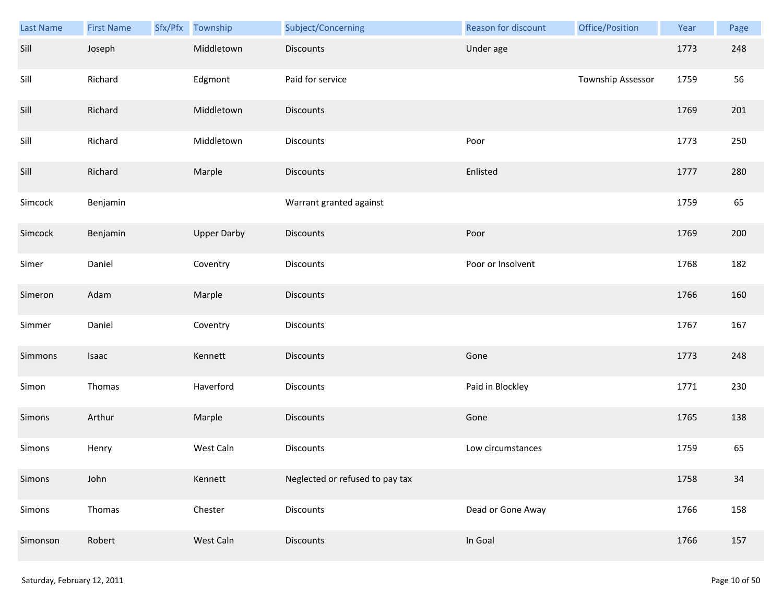| <b>Last Name</b> | <b>First Name</b> | Sfx/Pfx | Township           | Subject/Concerning              | Reason for discount | Office/Position   | Year | Page |
|------------------|-------------------|---------|--------------------|---------------------------------|---------------------|-------------------|------|------|
| Sill             | Joseph            |         | Middletown         | <b>Discounts</b>                | Under age           |                   | 1773 | 248  |
| Sill             | Richard           |         | Edgmont            | Paid for service                |                     | Township Assessor | 1759 | 56   |
| Sill             | Richard           |         | Middletown         | Discounts                       |                     |                   | 1769 | 201  |
| Sill             | Richard           |         | Middletown         | Discounts                       | Poor                |                   | 1773 | 250  |
| Sill             | Richard           |         | Marple             | <b>Discounts</b>                | Enlisted            |                   | 1777 | 280  |
| Simcock          | Benjamin          |         |                    | Warrant granted against         |                     |                   | 1759 | 65   |
| Simcock          | Benjamin          |         | <b>Upper Darby</b> | Discounts                       | Poor                |                   | 1769 | 200  |
| Simer            | Daniel            |         | Coventry           | Discounts                       | Poor or Insolvent   |                   | 1768 | 182  |
| Simeron          | Adam              |         | Marple             | <b>Discounts</b>                |                     |                   | 1766 | 160  |
| Simmer           | Daniel            |         | Coventry           | Discounts                       |                     |                   | 1767 | 167  |
| Simmons          | Isaac             |         | Kennett            | Discounts                       | Gone                |                   | 1773 | 248  |
| Simon            | Thomas            |         | Haverford          | Discounts                       | Paid in Blockley    |                   | 1771 | 230  |
| Simons           | Arthur            |         | Marple             | Discounts                       | Gone                |                   | 1765 | 138  |
| Simons           | Henry             |         | West Caln          | Discounts                       | Low circumstances   |                   | 1759 | 65   |
| Simons           | John              |         | Kennett            | Neglected or refused to pay tax |                     |                   | 1758 | 34   |
| Simons           | Thomas            |         | Chester            | <b>Discounts</b>                | Dead or Gone Away   |                   | 1766 | 158  |
| Simonson         | Robert            |         | West Caln          | Discounts                       | In Goal             |                   | 1766 | 157  |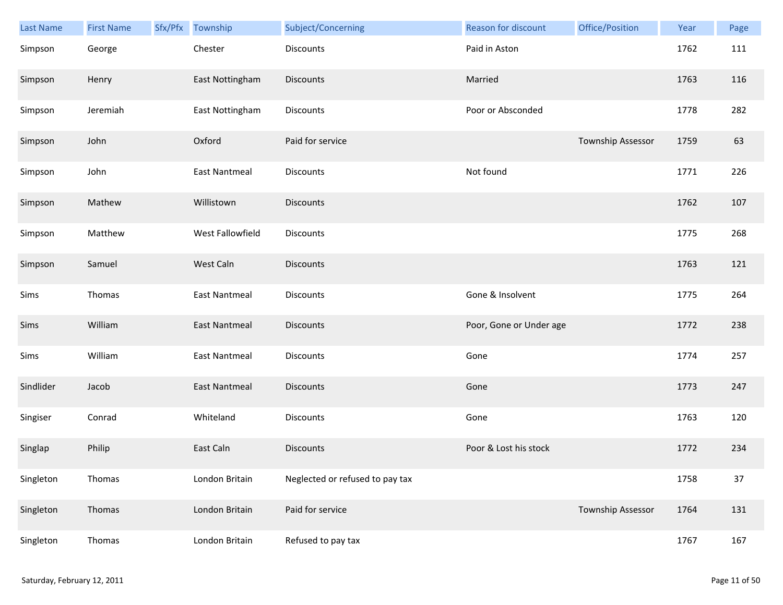| Last Name | <b>First Name</b> | Sfx/Pfx | Township             | Subject/Concerning              | Reason for discount     | Office/Position   | Year | Page |
|-----------|-------------------|---------|----------------------|---------------------------------|-------------------------|-------------------|------|------|
| Simpson   | George            |         | Chester              | Discounts                       | Paid in Aston           |                   | 1762 | 111  |
| Simpson   | Henry             |         | East Nottingham      | Discounts                       | Married                 |                   | 1763 | 116  |
| Simpson   | Jeremiah          |         | East Nottingham      | Discounts                       | Poor or Absconded       |                   | 1778 | 282  |
| Simpson   | John              |         | Oxford               | Paid for service                |                         | Township Assessor | 1759 | 63   |
| Simpson   | John              |         | East Nantmeal        | Discounts                       | Not found               |                   | 1771 | 226  |
| Simpson   | Mathew            |         | Willistown           | <b>Discounts</b>                |                         |                   | 1762 | 107  |
| Simpson   | Matthew           |         | West Fallowfield     | Discounts                       |                         |                   | 1775 | 268  |
| Simpson   | Samuel            |         | West Caln            | <b>Discounts</b>                |                         |                   | 1763 | 121  |
| Sims      | Thomas            |         | <b>East Nantmeal</b> | <b>Discounts</b>                | Gone & Insolvent        |                   | 1775 | 264  |
| Sims      | William           |         | <b>East Nantmeal</b> | <b>Discounts</b>                | Poor, Gone or Under age |                   | 1772 | 238  |
| Sims      | William           |         | <b>East Nantmeal</b> | Discounts                       | Gone                    |                   | 1774 | 257  |
| Sindlider | Jacob             |         | East Nantmeal        | <b>Discounts</b>                | Gone                    |                   | 1773 | 247  |
| Singiser  | Conrad            |         | Whiteland            | Discounts                       | Gone                    |                   | 1763 | 120  |
| Singlap   | Philip            |         | East Caln            | <b>Discounts</b>                | Poor & Lost his stock   |                   | 1772 | 234  |
| Singleton | Thomas            |         | London Britain       | Neglected or refused to pay tax |                         |                   | 1758 | 37   |
| Singleton | Thomas            |         | London Britain       | Paid for service                |                         | Township Assessor | 1764 | 131  |
| Singleton | Thomas            |         | London Britain       | Refused to pay tax              |                         |                   | 1767 | 167  |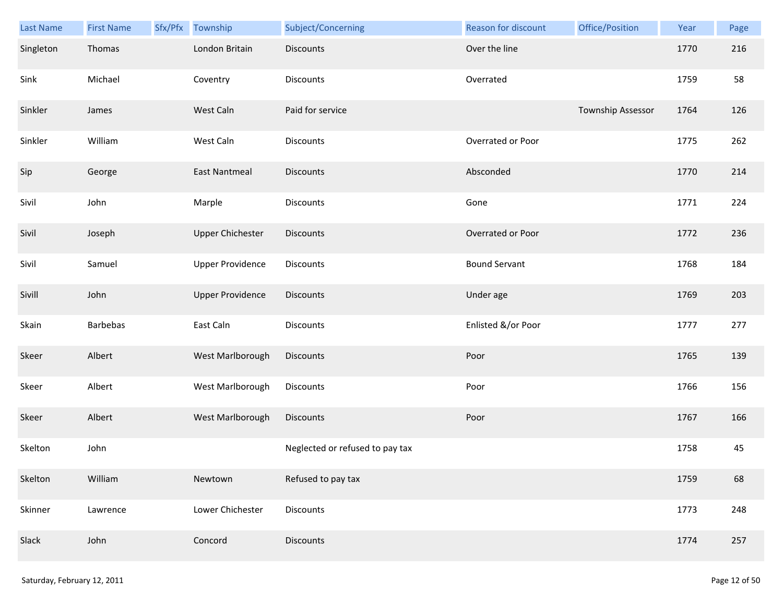| Last Name | <b>First Name</b> | Sfx/Pfx | Township                | Subject/Concerning              | <b>Reason for discount</b> | Office/Position   | Year | Page |
|-----------|-------------------|---------|-------------------------|---------------------------------|----------------------------|-------------------|------|------|
| Singleton | Thomas            |         | London Britain          | Discounts                       | Over the line              |                   | 1770 | 216  |
| Sink      | Michael           |         | Coventry                | Discounts                       | Overrated                  |                   | 1759 | 58   |
| Sinkler   | James             |         | West Caln               | Paid for service                |                            | Township Assessor | 1764 | 126  |
| Sinkler   | William           |         | West Caln               | <b>Discounts</b>                | Overrated or Poor          |                   | 1775 | 262  |
| Sip       | George            |         | <b>East Nantmeal</b>    | <b>Discounts</b>                | Absconded                  |                   | 1770 | 214  |
| Sivil     | John              |         | Marple                  | Discounts                       | Gone                       |                   | 1771 | 224  |
| Sivil     | Joseph            |         | <b>Upper Chichester</b> | <b>Discounts</b>                | Overrated or Poor          |                   | 1772 | 236  |
| Sivil     | Samuel            |         | <b>Upper Providence</b> | Discounts                       | <b>Bound Servant</b>       |                   | 1768 | 184  |
| Sivill    | John              |         | <b>Upper Providence</b> | <b>Discounts</b>                | Under age                  |                   | 1769 | 203  |
| Skain     | <b>Barbebas</b>   |         | East Caln               | Discounts                       | Enlisted &/or Poor         |                   | 1777 | 277  |
| Skeer     | Albert            |         | West Marlborough        | Discounts                       | Poor                       |                   | 1765 | 139  |
| Skeer     | Albert            |         | West Marlborough        | Discounts                       | Poor                       |                   | 1766 | 156  |
| Skeer     | Albert            |         | West Marlborough        | Discounts                       | Poor                       |                   | 1767 | 166  |
| Skelton   | John              |         |                         | Neglected or refused to pay tax |                            |                   | 1758 | 45   |
| Skelton   | William           |         | Newtown                 | Refused to pay tax              |                            |                   | 1759 | 68   |
| Skinner   | Lawrence          |         | Lower Chichester        | Discounts                       |                            |                   | 1773 | 248  |
| Slack     | John              |         | Concord                 | Discounts                       |                            |                   | 1774 | 257  |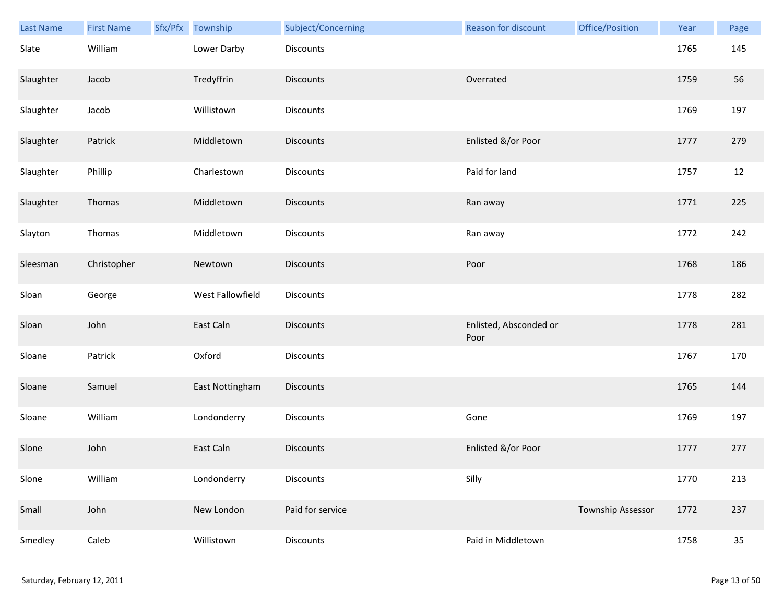| Last Name | <b>First Name</b> | Sfx/Pfx | Township         | Subject/Concerning | <b>Reason for discount</b>     | Office/Position   | Year | Page |
|-----------|-------------------|---------|------------------|--------------------|--------------------------------|-------------------|------|------|
| Slate     | William           |         | Lower Darby      | Discounts          |                                |                   | 1765 | 145  |
| Slaughter | Jacob             |         | Tredyffrin       | Discounts          | Overrated                      |                   | 1759 | 56   |
| Slaughter | Jacob             |         | Willistown       | Discounts          |                                |                   | 1769 | 197  |
| Slaughter | Patrick           |         | Middletown       | <b>Discounts</b>   | Enlisted &/or Poor             |                   | 1777 | 279  |
| Slaughter | Phillip           |         | Charlestown      | Discounts          | Paid for land                  |                   | 1757 | 12   |
| Slaughter | Thomas            |         | Middletown       | Discounts          | Ran away                       |                   | 1771 | 225  |
| Slayton   | Thomas            |         | Middletown       | Discounts          | Ran away                       |                   | 1772 | 242  |
| Sleesman  | Christopher       |         | Newtown          | Discounts          | Poor                           |                   | 1768 | 186  |
| Sloan     | George            |         | West Fallowfield | Discounts          |                                |                   | 1778 | 282  |
| Sloan     | John              |         | East Caln        | Discounts          | Enlisted, Absconded or<br>Poor |                   | 1778 | 281  |
| Sloane    | Patrick           |         | Oxford           | Discounts          |                                |                   | 1767 | 170  |
| Sloane    | Samuel            |         | East Nottingham  | Discounts          |                                |                   | 1765 | 144  |
| Sloane    | William           |         | Londonderry      | Discounts          | Gone                           |                   | 1769 | 197  |
| Slone     | John              |         | East Caln        | <b>Discounts</b>   | Enlisted &/or Poor             |                   | 1777 | 277  |
| Slone     | William           |         | Londonderry      | Discounts          | Silly                          |                   | 1770 | 213  |
| Small     | John              |         | New London       | Paid for service   |                                | Township Assessor | 1772 | 237  |
| Smedley   | Caleb             |         | Willistown       | Discounts          | Paid in Middletown             |                   | 1758 | 35   |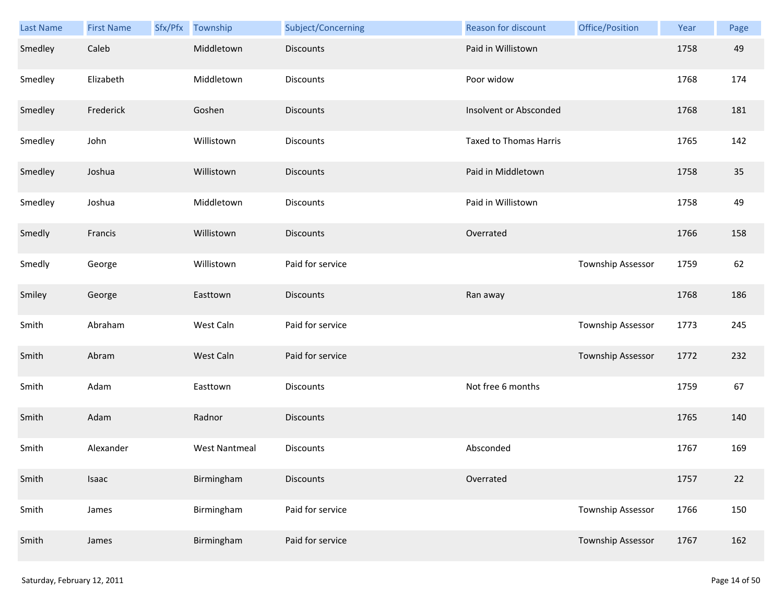| Last Name | <b>First Name</b> | Sfx/Pfx | Township             | Subject/Concerning | Reason for discount           | Office/Position   | Year | Page |
|-----------|-------------------|---------|----------------------|--------------------|-------------------------------|-------------------|------|------|
| Smedley   | Caleb             |         | Middletown           | <b>Discounts</b>   | Paid in Willistown            |                   | 1758 | 49   |
| Smedley   | Elizabeth         |         | Middletown           | Discounts          | Poor widow                    |                   | 1768 | 174  |
| Smedley   | Frederick         |         | Goshen               | <b>Discounts</b>   | Insolvent or Absconded        |                   | 1768 | 181  |
| Smedley   | John              |         | Willistown           | Discounts          | <b>Taxed to Thomas Harris</b> |                   | 1765 | 142  |
| Smedley   | Joshua            |         | Willistown           | <b>Discounts</b>   | Paid in Middletown            |                   | 1758 | 35   |
| Smedley   | Joshua            |         | Middletown           | Discounts          | Paid in Willistown            |                   | 1758 | 49   |
| Smedly    | Francis           |         | Willistown           | <b>Discounts</b>   | Overrated                     |                   | 1766 | 158  |
| Smedly    | George            |         | Willistown           | Paid for service   |                               | Township Assessor | 1759 | 62   |
| Smiley    | George            |         | Easttown             | <b>Discounts</b>   | Ran away                      |                   | 1768 | 186  |
| Smith     | Abraham           |         | West Caln            | Paid for service   |                               | Township Assessor | 1773 | 245  |
| Smith     | Abram             |         | West Caln            | Paid for service   |                               | Township Assessor | 1772 | 232  |
| Smith     | Adam              |         | Easttown             | Discounts          | Not free 6 months             |                   | 1759 | 67   |
| Smith     | Adam              |         | Radnor               | <b>Discounts</b>   |                               |                   | 1765 | 140  |
| Smith     | Alexander         |         | <b>West Nantmeal</b> | Discounts          | Absconded                     |                   | 1767 | 169  |
| Smith     | Isaac             |         | Birmingham           | <b>Discounts</b>   | Overrated                     |                   | 1757 | 22   |
| Smith     | James             |         | Birmingham           | Paid for service   |                               | Township Assessor | 1766 | 150  |
| Smith     | James             |         | Birmingham           | Paid for service   |                               | Township Assessor | 1767 | 162  |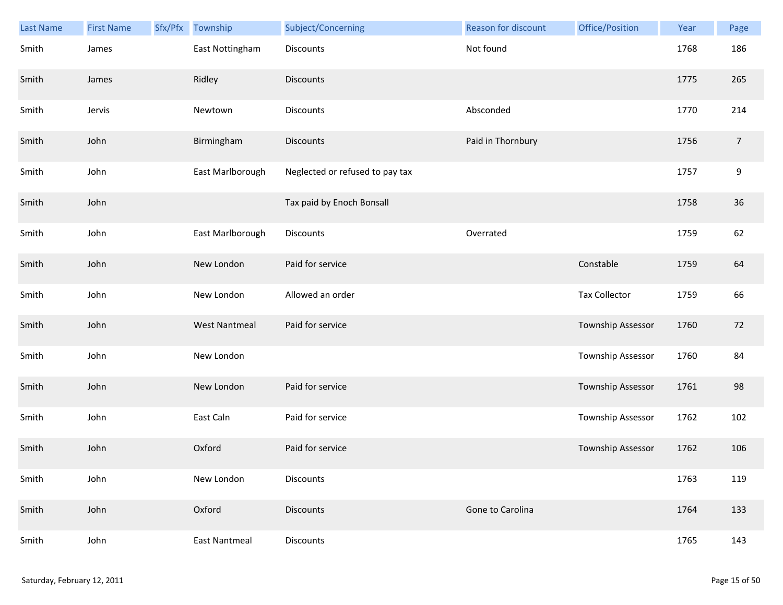| <b>Last Name</b> | <b>First Name</b> | Sfx/Pfx | Township             | Subject/Concerning              | Reason for discount | Office/Position      | Year | Page           |
|------------------|-------------------|---------|----------------------|---------------------------------|---------------------|----------------------|------|----------------|
| Smith            | James             |         | East Nottingham      | <b>Discounts</b>                | Not found           |                      | 1768 | 186            |
| Smith            | James             |         | Ridley               | <b>Discounts</b>                |                     |                      | 1775 | 265            |
| Smith            | Jervis            |         | Newtown              | Discounts                       | Absconded           |                      | 1770 | 214            |
| Smith            | John              |         | Birmingham           | <b>Discounts</b>                | Paid in Thornbury   |                      | 1756 | $\overline{7}$ |
| Smith            | John              |         | East Marlborough     | Neglected or refused to pay tax |                     |                      | 1757 | 9              |
| Smith            | John              |         |                      | Tax paid by Enoch Bonsall       |                     |                      | 1758 | 36             |
| Smith            | John              |         | East Marlborough     | Discounts                       | Overrated           |                      | 1759 | 62             |
| Smith            | John              |         | New London           | Paid for service                |                     | Constable            | 1759 | 64             |
| Smith            | John              |         | New London           | Allowed an order                |                     | <b>Tax Collector</b> | 1759 | 66             |
| Smith            | John              |         | <b>West Nantmeal</b> | Paid for service                |                     | Township Assessor    | 1760 | 72             |
| Smith            | John              |         | New London           |                                 |                     | Township Assessor    | 1760 | 84             |
| Smith            | John              |         | New London           | Paid for service                |                     | Township Assessor    | 1761 | 98             |
| Smith            | John              |         | East Caln            | Paid for service                |                     | Township Assessor    | 1762 | 102            |
| Smith            | John              |         | Oxford               | Paid for service                |                     | Township Assessor    | 1762 | 106            |
| Smith            | John              |         | New London           | <b>Discounts</b>                |                     |                      | 1763 | 119            |
| Smith            | John              |         | Oxford               | <b>Discounts</b>                | Gone to Carolina    |                      | 1764 | 133            |
| Smith            | John              |         | <b>East Nantmeal</b> | Discounts                       |                     |                      | 1765 | 143            |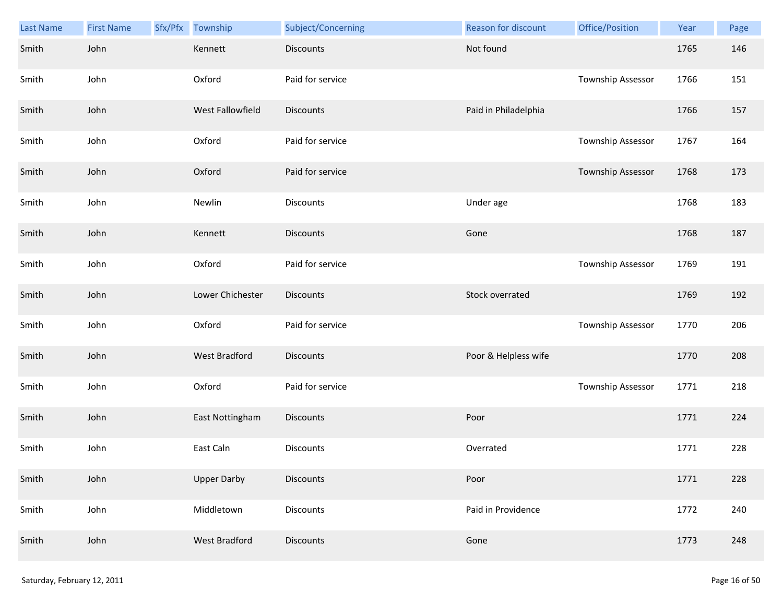| <b>Last Name</b> | <b>First Name</b> | Sfx/Pfx | Township             | Subject/Concerning | Reason for discount  | Office/Position   | Year | Page |
|------------------|-------------------|---------|----------------------|--------------------|----------------------|-------------------|------|------|
| Smith            | John              |         | Kennett              | <b>Discounts</b>   | Not found            |                   | 1765 | 146  |
| Smith            | John              |         | Oxford               | Paid for service   |                      | Township Assessor | 1766 | 151  |
| Smith            | John              |         | West Fallowfield     | <b>Discounts</b>   | Paid in Philadelphia |                   | 1766 | 157  |
| Smith            | John              |         | Oxford               | Paid for service   |                      | Township Assessor | 1767 | 164  |
| Smith            | John              |         | Oxford               | Paid for service   |                      | Township Assessor | 1768 | 173  |
| Smith            | John              |         | Newlin               | Discounts          | Under age            |                   | 1768 | 183  |
| Smith            | John              |         | Kennett              | <b>Discounts</b>   | Gone                 |                   | 1768 | 187  |
| Smith            | John              |         | Oxford               | Paid for service   |                      | Township Assessor | 1769 | 191  |
| Smith            | John              |         | Lower Chichester     | Discounts          | Stock overrated      |                   | 1769 | 192  |
| Smith            | John              |         | Oxford               | Paid for service   |                      | Township Assessor | 1770 | 206  |
| Smith            | John              |         | <b>West Bradford</b> | <b>Discounts</b>   | Poor & Helpless wife |                   | 1770 | 208  |
| Smith            | John              |         | Oxford               | Paid for service   |                      | Township Assessor | 1771 | 218  |
| Smith            | John              |         | East Nottingham      | Discounts          | Poor                 |                   | 1771 | 224  |
| Smith            | John              |         | East Caln            | <b>Discounts</b>   | Overrated            |                   | 1771 | 228  |
| Smith            | John              |         | <b>Upper Darby</b>   | <b>Discounts</b>   | Poor                 |                   | 1771 | 228  |
| Smith            | John              |         | Middletown           | Discounts          | Paid in Providence   |                   | 1772 | 240  |
| Smith            | John              |         | West Bradford        | <b>Discounts</b>   | Gone                 |                   | 1773 | 248  |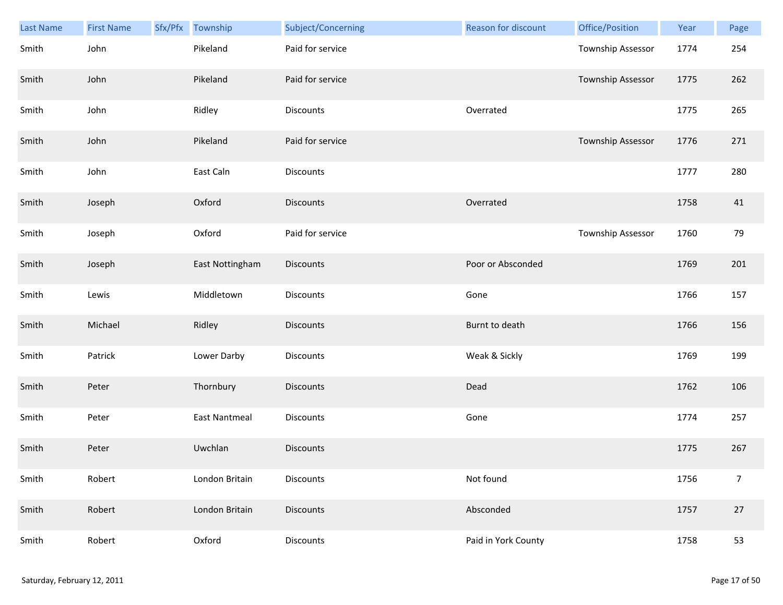| Last Name | <b>First Name</b> | Sfx/Pfx | Township        | Subject/Concerning | Reason for discount | Office/Position          | Year | Page           |
|-----------|-------------------|---------|-----------------|--------------------|---------------------|--------------------------|------|----------------|
| Smith     | John              |         | Pikeland        | Paid for service   |                     | Township Assessor        | 1774 | 254            |
| Smith     | John              |         | Pikeland        | Paid for service   |                     | Township Assessor        | 1775 | 262            |
| Smith     | John              |         | Ridley          | Discounts          | Overrated           |                          | 1775 | 265            |
| Smith     | John              |         | Pikeland        | Paid for service   |                     | <b>Township Assessor</b> | 1776 | 271            |
| Smith     | John              |         | East Caln       | Discounts          |                     |                          | 1777 | 280            |
| Smith     | Joseph            |         | Oxford          | <b>Discounts</b>   | Overrated           |                          | 1758 | 41             |
| Smith     | Joseph            |         | Oxford          | Paid for service   |                     | Township Assessor        | 1760 | 79             |
| Smith     | Joseph            |         | East Nottingham | Discounts          | Poor or Absconded   |                          | 1769 | 201            |
| Smith     | Lewis             |         | Middletown      | <b>Discounts</b>   | Gone                |                          | 1766 | 157            |
| Smith     | Michael           |         | Ridley          | <b>Discounts</b>   | Burnt to death      |                          | 1766 | 156            |
| Smith     | Patrick           |         | Lower Darby     | Discounts          | Weak & Sickly       |                          | 1769 | 199            |
| Smith     | Peter             |         | Thornbury       | <b>Discounts</b>   | Dead                |                          | 1762 | 106            |
| Smith     | Peter             |         | East Nantmeal   | Discounts          | Gone                |                          | 1774 | 257            |
| Smith     | Peter             |         | Uwchlan         | <b>Discounts</b>   |                     |                          | 1775 | 267            |
| Smith     | Robert            |         | London Britain  | Discounts          | Not found           |                          | 1756 | $\overline{7}$ |
| Smith     | Robert            |         | London Britain  | <b>Discounts</b>   | Absconded           |                          | 1757 | 27             |
| Smith     | Robert            |         | Oxford          | <b>Discounts</b>   | Paid in York County |                          | 1758 | 53             |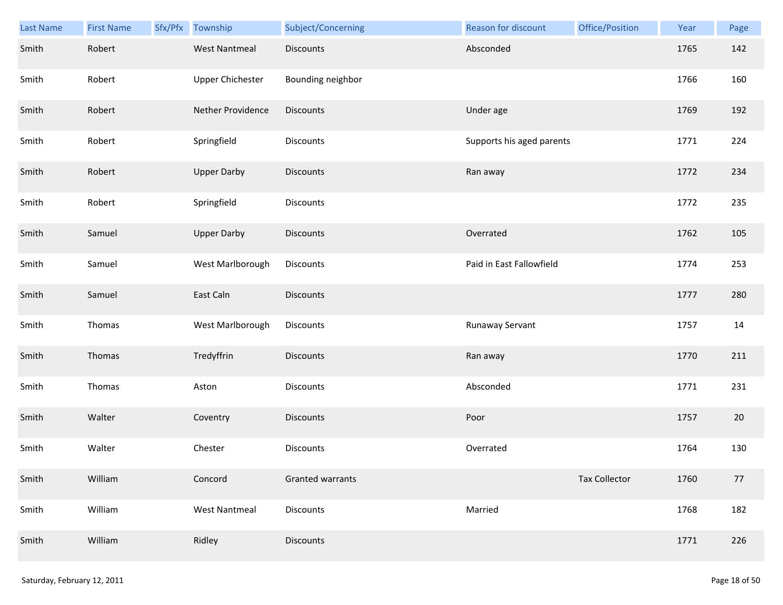| <b>Last Name</b> | <b>First Name</b> | Sfx/Pfx | Township             | Subject/Concerning | Reason for discount       | Office/Position      | Year | Page |
|------------------|-------------------|---------|----------------------|--------------------|---------------------------|----------------------|------|------|
| Smith            | Robert            |         | <b>West Nantmeal</b> | <b>Discounts</b>   | Absconded                 |                      | 1765 | 142  |
| Smith            | Robert            |         | Upper Chichester     | Bounding neighbor  |                           |                      | 1766 | 160  |
| Smith            | Robert            |         | Nether Providence    | Discounts          | Under age                 |                      | 1769 | 192  |
| Smith            | Robert            |         | Springfield          | Discounts          | Supports his aged parents |                      | 1771 | 224  |
| Smith            | Robert            |         | <b>Upper Darby</b>   | <b>Discounts</b>   | Ran away                  |                      | 1772 | 234  |
| Smith            | Robert            |         | Springfield          | Discounts          |                           |                      | 1772 | 235  |
| Smith            | Samuel            |         | <b>Upper Darby</b>   | Discounts          | Overrated                 |                      | 1762 | 105  |
| Smith            | Samuel            |         | West Marlborough     | Discounts          | Paid in East Fallowfield  |                      | 1774 | 253  |
| Smith            | Samuel            |         | East Caln            | <b>Discounts</b>   |                           |                      | 1777 | 280  |
| Smith            | Thomas            |         | West Marlborough     | Discounts          | Runaway Servant           |                      | 1757 | 14   |
| Smith            | Thomas            |         | Tredyffrin           | <b>Discounts</b>   | Ran away                  |                      | 1770 | 211  |
| Smith            | Thomas            |         | Aston                | <b>Discounts</b>   | Absconded                 |                      | 1771 | 231  |
| Smith            | Walter            |         | Coventry             | Discounts          | Poor                      |                      | 1757 | 20   |
| Smith            | Walter            |         | Chester              | <b>Discounts</b>   | Overrated                 |                      | 1764 | 130  |
| Smith            | William           |         | Concord              | Granted warrants   |                           | <b>Tax Collector</b> | 1760 | 77   |
| Smith            | William           |         | <b>West Nantmeal</b> | <b>Discounts</b>   | Married                   |                      | 1768 | 182  |
| Smith            | William           |         | Ridley               | Discounts          |                           |                      | 1771 | 226  |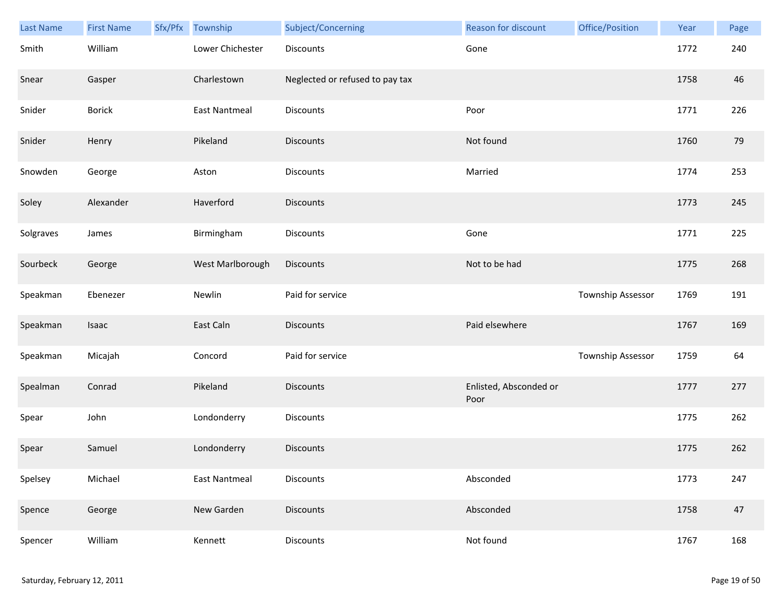| Last Name | <b>First Name</b> | Sfx/Pfx | Township             | Subject/Concerning              | Reason for discount            | Office/Position   | Year | Page |
|-----------|-------------------|---------|----------------------|---------------------------------|--------------------------------|-------------------|------|------|
| Smith     | William           |         | Lower Chichester     | Discounts                       | Gone                           |                   | 1772 | 240  |
| Snear     | Gasper            |         | Charlestown          | Neglected or refused to pay tax |                                |                   | 1758 | 46   |
| Snider    | <b>Borick</b>     |         | East Nantmeal        | Discounts                       | Poor                           |                   | 1771 | 226  |
| Snider    | Henry             |         | Pikeland             | <b>Discounts</b>                | Not found                      |                   | 1760 | 79   |
| Snowden   | George            |         | Aston                | Discounts                       | Married                        |                   | 1774 | 253  |
| Soley     | Alexander         |         | Haverford            | <b>Discounts</b>                |                                |                   | 1773 | 245  |
| Solgraves | James             |         | Birmingham           | Discounts                       | Gone                           |                   | 1771 | 225  |
| Sourbeck  | George            |         | West Marlborough     | <b>Discounts</b>                | Not to be had                  |                   | 1775 | 268  |
| Speakman  | Ebenezer          |         | Newlin               | Paid for service                |                                | Township Assessor | 1769 | 191  |
| Speakman  | Isaac             |         | East Caln            | <b>Discounts</b>                | Paid elsewhere                 |                   | 1767 | 169  |
| Speakman  | Micajah           |         | Concord              | Paid for service                |                                | Township Assessor | 1759 | 64   |
| Spealman  | Conrad            |         | Pikeland             | Discounts                       | Enlisted, Absconded or<br>Poor |                   | 1777 | 277  |
| Spear     | John              |         | Londonderry          | Discounts                       |                                |                   | 1775 | 262  |
| Spear     | Samuel            |         | Londonderry          | <b>Discounts</b>                |                                |                   | 1775 | 262  |
| Spelsey   | Michael           |         | <b>East Nantmeal</b> | Discounts                       | Absconded                      |                   | 1773 | 247  |
| Spence    | George            |         | New Garden           | <b>Discounts</b>                | Absconded                      |                   | 1758 | 47   |
| Spencer   | William           |         | Kennett              | Discounts                       | Not found                      |                   | 1767 | 168  |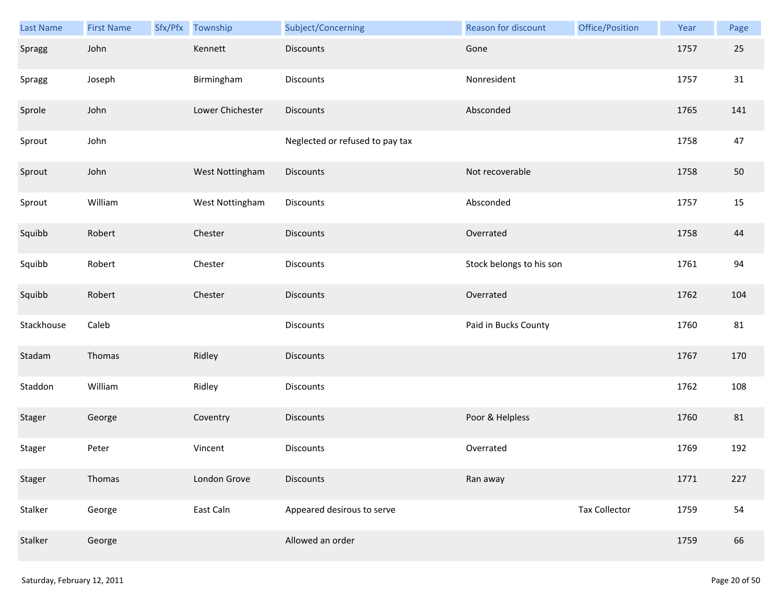| Last Name  | <b>First Name</b> | Sfx/Pfx | Township         | Subject/Concerning              | Reason for discount      | Office/Position      | Year | Page |
|------------|-------------------|---------|------------------|---------------------------------|--------------------------|----------------------|------|------|
| Spragg     | John              |         | Kennett          | <b>Discounts</b>                | Gone                     |                      | 1757 | 25   |
| Spragg     | Joseph            |         | Birmingham       | Discounts                       | Nonresident              |                      | 1757 | 31   |
| Sprole     | John              |         | Lower Chichester | Discounts                       | Absconded                |                      | 1765 | 141  |
| Sprout     | John              |         |                  | Neglected or refused to pay tax |                          |                      | 1758 | 47   |
| Sprout     | John              |         | West Nottingham  | <b>Discounts</b>                | Not recoverable          |                      | 1758 | 50   |
| Sprout     | William           |         | West Nottingham  | Discounts                       | Absconded                |                      | 1757 | 15   |
| Squibb     | Robert            |         | Chester          | <b>Discounts</b>                | Overrated                |                      | 1758 | 44   |
| Squibb     | Robert            |         | Chester          | Discounts                       | Stock belongs to his son |                      | 1761 | 94   |
| Squibb     | Robert            |         | Chester          | <b>Discounts</b>                | Overrated                |                      | 1762 | 104  |
| Stackhouse | Caleb             |         |                  | Discounts                       | Paid in Bucks County     |                      | 1760 | 81   |
| Stadam     | Thomas            |         | Ridley           | Discounts                       |                          |                      | 1767 | 170  |
| Staddon    | William           |         | Ridley           | Discounts                       |                          |                      | 1762 | 108  |
| Stager     | George            |         | Coventry         | Discounts                       | Poor & Helpless          |                      | 1760 | 81   |
| Stager     | Peter             |         | Vincent          | Discounts                       | Overrated                |                      | 1769 | 192  |
| Stager     | Thomas            |         | London Grove     | <b>Discounts</b>                | Ran away                 |                      | 1771 | 227  |
| Stalker    | George            |         | East Caln        | Appeared desirous to serve      |                          | <b>Tax Collector</b> | 1759 | 54   |
| Stalker    | George            |         |                  | Allowed an order                |                          |                      | 1759 | 66   |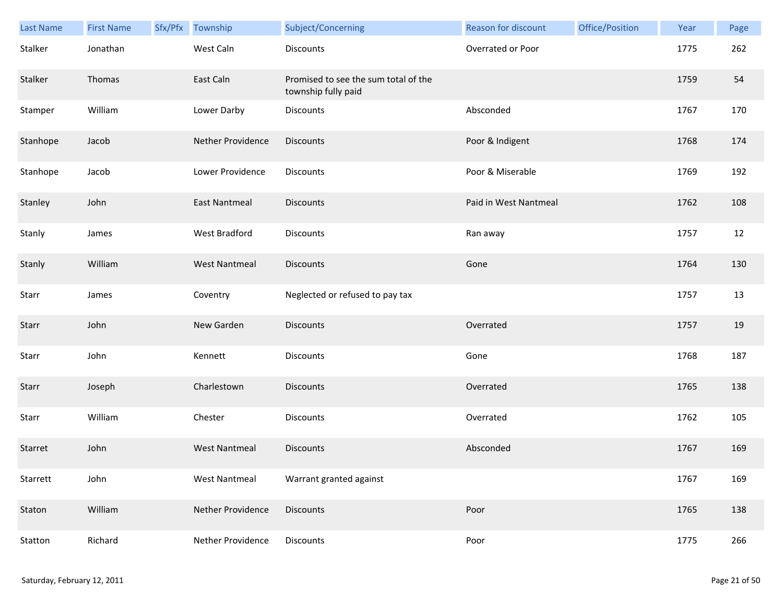| <b>Last Name</b> | <b>First Name</b> | Sfx/Pfx | Township                 | Subject/Concerning                                          | <b>Reason for discount</b> | Office/Position | Year | Page |
|------------------|-------------------|---------|--------------------------|-------------------------------------------------------------|----------------------------|-----------------|------|------|
| Stalker          | Jonathan          |         | West Caln                | Discounts                                                   | Overrated or Poor          |                 | 1775 | 262  |
| Stalker          | Thomas            |         | East Caln                | Promised to see the sum total of the<br>township fully paid |                            |                 | 1759 | 54   |
| Stamper          | William           |         | Lower Darby              | Discounts                                                   | Absconded                  |                 | 1767 | 170  |
| Stanhope         | Jacob             |         | <b>Nether Providence</b> | <b>Discounts</b>                                            | Poor & Indigent            |                 | 1768 | 174  |
| Stanhope         | Jacob             |         | Lower Providence         | Discounts                                                   | Poor & Miserable           |                 | 1769 | 192  |
| Stanley          | John              |         | <b>East Nantmeal</b>     | <b>Discounts</b>                                            | Paid in West Nantmeal      |                 | 1762 | 108  |
| Stanly           | James             |         | <b>West Bradford</b>     | Discounts                                                   | Ran away                   |                 | 1757 | 12   |
| Stanly           | William           |         | <b>West Nantmeal</b>     | <b>Discounts</b>                                            | Gone                       |                 | 1764 | 130  |
| Starr            | James             |         | Coventry                 | Neglected or refused to pay tax                             |                            |                 | 1757 | 13   |
| Starr            | John              |         | New Garden               | <b>Discounts</b>                                            | Overrated                  |                 | 1757 | 19   |
| Starr            | John              |         | Kennett                  | <b>Discounts</b>                                            | Gone                       |                 | 1768 | 187  |
| Starr            | Joseph            |         | Charlestown              | <b>Discounts</b>                                            | Overrated                  |                 | 1765 | 138  |
| Starr            | William           |         | Chester                  | Discounts                                                   | Overrated                  |                 | 1762 | 105  |
| Starret          | John              |         | <b>West Nantmeal</b>     | <b>Discounts</b>                                            | Absconded                  |                 | 1767 | 169  |
| Starrett         | John              |         | <b>West Nantmeal</b>     | Warrant granted against                                     |                            |                 | 1767 | 169  |
| Staton           | William           |         | Nether Providence        | <b>Discounts</b>                                            | Poor                       |                 | 1765 | 138  |
| Statton          | Richard           |         | Nether Providence        | Discounts                                                   | Poor                       |                 | 1775 | 266  |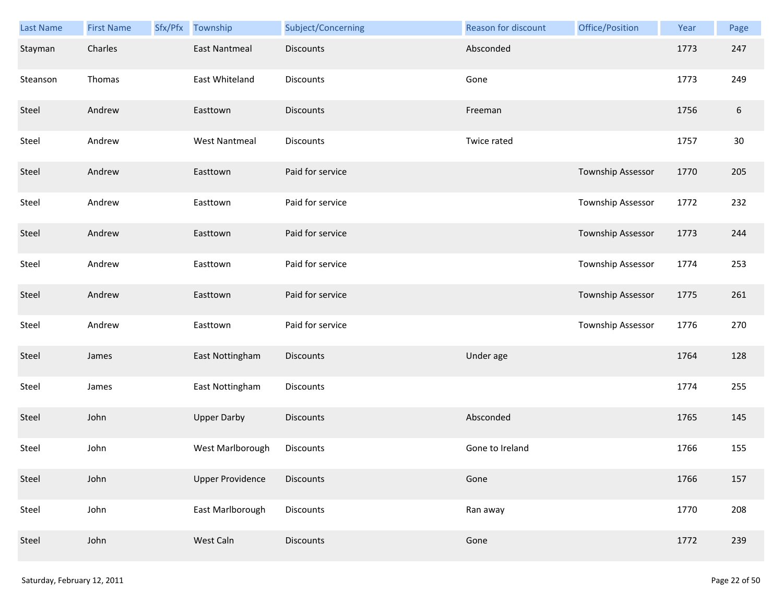| <b>Last Name</b> | <b>First Name</b> | Sfx/Pfx | Township                | Subject/Concerning | Reason for discount | Office/Position   | Year | Page             |
|------------------|-------------------|---------|-------------------------|--------------------|---------------------|-------------------|------|------------------|
| Stayman          | Charles           |         | <b>East Nantmeal</b>    | <b>Discounts</b>   | Absconded           |                   | 1773 | 247              |
| Steanson         | Thomas            |         | East Whiteland          | <b>Discounts</b>   | Gone                |                   | 1773 | 249              |
| Steel            | Andrew            |         | Easttown                | <b>Discounts</b>   | Freeman             |                   | 1756 | $\boldsymbol{6}$ |
| Steel            | Andrew            |         | <b>West Nantmeal</b>    | Discounts          | Twice rated         |                   | 1757 | 30               |
| Steel            | Andrew            |         | Easttown                | Paid for service   |                     | Township Assessor | 1770 | 205              |
| Steel            | Andrew            |         | Easttown                | Paid for service   |                     | Township Assessor | 1772 | 232              |
| Steel            | Andrew            |         | Easttown                | Paid for service   |                     | Township Assessor | 1773 | 244              |
| Steel            | Andrew            |         | Easttown                | Paid for service   |                     | Township Assessor | 1774 | 253              |
| Steel            | Andrew            |         | Easttown                | Paid for service   |                     | Township Assessor | 1775 | 261              |
| Steel            | Andrew            |         | Easttown                | Paid for service   |                     | Township Assessor | 1776 | 270              |
| Steel            | James             |         | East Nottingham         | <b>Discounts</b>   | Under age           |                   | 1764 | 128              |
| Steel            | James             |         | East Nottingham         | Discounts          |                     |                   | 1774 | 255              |
| Steel            | John              |         | <b>Upper Darby</b>      | Discounts          | Absconded           |                   | 1765 | 145              |
| Steel            | John              |         | West Marlborough        | Discounts          | Gone to Ireland     |                   | 1766 | 155              |
| Steel            | John              |         | <b>Upper Providence</b> | <b>Discounts</b>   | Gone                |                   | 1766 | 157              |
| Steel            | John              |         | East Marlborough        | Discounts          | Ran away            |                   | 1770 | 208              |
| Steel            | John              |         | West Caln               | Discounts          | Gone                |                   | 1772 | 239              |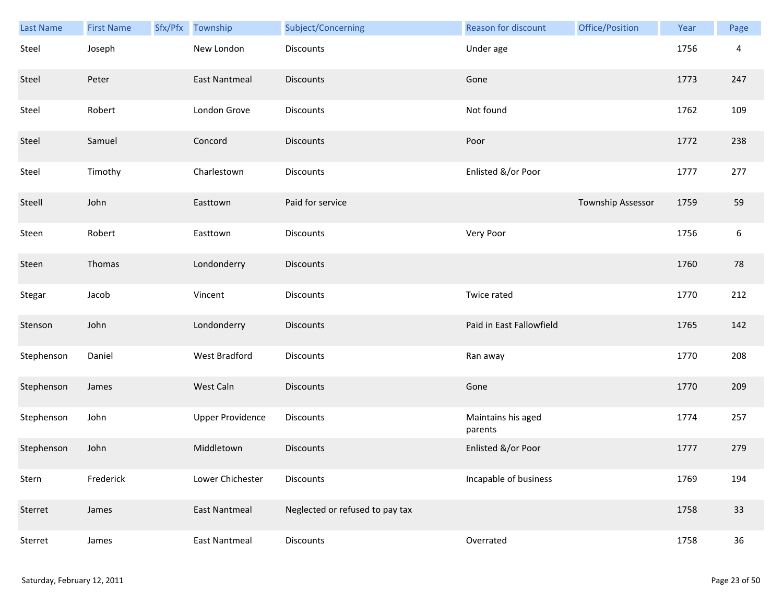| Last Name  | <b>First Name</b> | Sfx/Pfx | Township                | Subject/Concerning              | Reason for discount           | Office/Position   | Year | Page             |
|------------|-------------------|---------|-------------------------|---------------------------------|-------------------------------|-------------------|------|------------------|
| Steel      | Joseph            |         | New London              | <b>Discounts</b>                | Under age                     |                   | 1756 | $\overline{4}$   |
| Steel      | Peter             |         | <b>East Nantmeal</b>    | <b>Discounts</b>                | Gone                          |                   | 1773 | 247              |
| Steel      | Robert            |         | London Grove            | Discounts                       | Not found                     |                   | 1762 | 109              |
| Steel      | Samuel            |         | Concord                 | <b>Discounts</b>                | Poor                          |                   | 1772 | 238              |
| Steel      | Timothy           |         | Charlestown             | <b>Discounts</b>                | Enlisted &/or Poor            |                   | 1777 | 277              |
| Steell     | John              |         | Easttown                | Paid for service                |                               | Township Assessor | 1759 | 59               |
| Steen      | Robert            |         | Easttown                | <b>Discounts</b>                | Very Poor                     |                   | 1756 | $\boldsymbol{6}$ |
| Steen      | Thomas            |         | Londonderry             | Discounts                       |                               |                   | 1760 | 78               |
| Stegar     | Jacob             |         | Vincent                 | <b>Discounts</b>                | Twice rated                   |                   | 1770 | 212              |
| Stenson    | John              |         | Londonderry             | <b>Discounts</b>                | Paid in East Fallowfield      |                   | 1765 | 142              |
| Stephenson | Daniel            |         | West Bradford           | <b>Discounts</b>                | Ran away                      |                   | 1770 | 208              |
| Stephenson | James             |         | West Caln               | <b>Discounts</b>                | Gone                          |                   | 1770 | 209              |
| Stephenson | John              |         | <b>Upper Providence</b> | Discounts                       | Maintains his aged<br>parents |                   | 1774 | 257              |
| Stephenson | John              |         | Middletown              | <b>Discounts</b>                | Enlisted &/or Poor            |                   | 1777 | 279              |
| Stern      | Frederick         |         | Lower Chichester        | Discounts                       | Incapable of business         |                   | 1769 | 194              |
| Sterret    | James             |         | <b>East Nantmeal</b>    | Neglected or refused to pay tax |                               |                   | 1758 | 33               |
| Sterret    | James             |         | <b>East Nantmeal</b>    | Discounts                       | Overrated                     |                   | 1758 | 36               |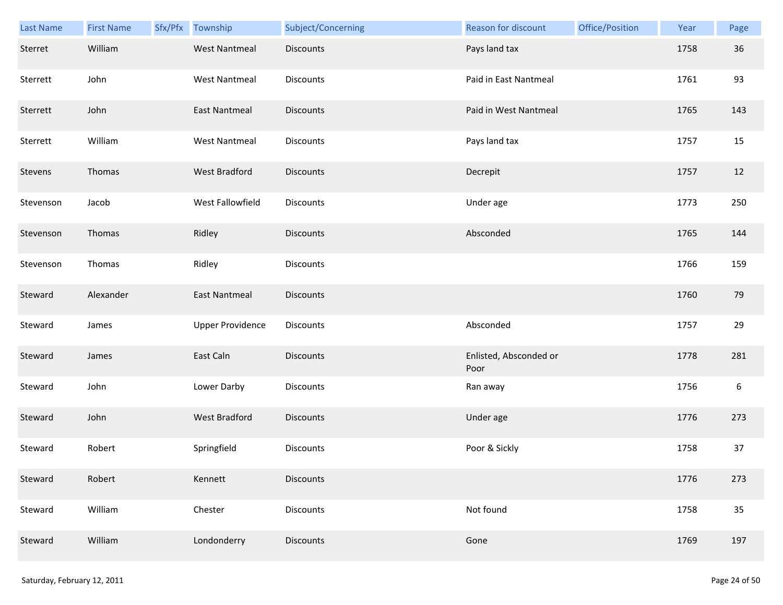| Last Name | <b>First Name</b> | Sfx/Pfx Township        | Subject/Concerning | Reason for discount            | Office/Position | Year | Page             |
|-----------|-------------------|-------------------------|--------------------|--------------------------------|-----------------|------|------------------|
| Sterret   | William           | <b>West Nantmeal</b>    | <b>Discounts</b>   | Pays land tax                  |                 | 1758 | 36               |
| Sterrett  | John              | <b>West Nantmeal</b>    | <b>Discounts</b>   | Paid in East Nantmeal          |                 | 1761 | 93               |
| Sterrett  | John              | East Nantmeal           | <b>Discounts</b>   | Paid in West Nantmeal          |                 | 1765 | 143              |
| Sterrett  | William           | <b>West Nantmeal</b>    | <b>Discounts</b>   | Pays land tax                  |                 | 1757 | 15               |
| Stevens   | Thomas            | West Bradford           | <b>Discounts</b>   | Decrepit                       |                 | 1757 | 12               |
| Stevenson | Jacob             | West Fallowfield        | <b>Discounts</b>   | Under age                      |                 | 1773 | 250              |
| Stevenson | Thomas            | Ridley                  | Discounts          | Absconded                      |                 | 1765 | 144              |
| Stevenson | Thomas            | Ridley                  | Discounts          |                                |                 | 1766 | 159              |
| Steward   | Alexander         | <b>East Nantmeal</b>    | <b>Discounts</b>   |                                |                 | 1760 | 79               |
| Steward   | James             | <b>Upper Providence</b> | <b>Discounts</b>   | Absconded                      |                 | 1757 | 29               |
| Steward   | James             | East Caln               | <b>Discounts</b>   | Enlisted, Absconded or<br>Poor |                 | 1778 | 281              |
| Steward   | John              | Lower Darby             | Discounts          | Ran away                       |                 | 1756 | $\boldsymbol{6}$ |
| Steward   | John              | West Bradford           | <b>Discounts</b>   | Under age                      |                 | 1776 | 273              |
| Steward   | Robert            | Springfield             | <b>Discounts</b>   | Poor & Sickly                  |                 | 1758 | 37               |
| Steward   | Robert            | Kennett                 | <b>Discounts</b>   |                                |                 | 1776 | 273              |
| Steward   | William           | Chester                 | <b>Discounts</b>   | Not found                      |                 | 1758 | 35               |
| Steward   | William           | Londonderry             | <b>Discounts</b>   | Gone                           |                 | 1769 | 197              |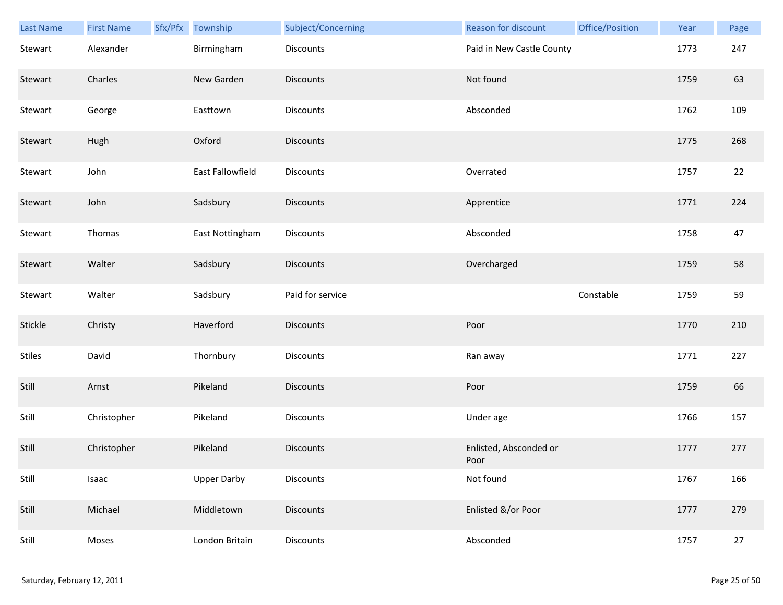| Last Name     | <b>First Name</b> | Sfx/Pfx Township   | Subject/Concerning | Reason for discount            | Office/Position | Year | Page   |
|---------------|-------------------|--------------------|--------------------|--------------------------------|-----------------|------|--------|
| Stewart       | Alexander         | Birmingham         | Discounts          | Paid in New Castle County      |                 | 1773 | 247    |
| Stewart       | Charles           | New Garden         | Discounts          | Not found                      |                 | 1759 | 63     |
| Stewart       | George            | Easttown           | Discounts          | Absconded                      |                 | 1762 | 109    |
| Stewart       | Hugh              | Oxford             | <b>Discounts</b>   |                                |                 | 1775 | 268    |
| Stewart       | John              | East Fallowfield   | Discounts          | Overrated                      |                 | 1757 | 22     |
| Stewart       | John              | Sadsbury           | Discounts          | Apprentice                     |                 | 1771 | 224    |
| Stewart       | Thomas            | East Nottingham    | Discounts          | Absconded                      |                 | 1758 | 47     |
| Stewart       | Walter            | Sadsbury           | Discounts          | Overcharged                    |                 | 1759 | 58     |
| Stewart       | Walter            | Sadsbury           | Paid for service   |                                | Constable       | 1759 | 59     |
| Stickle       | Christy           | Haverford          | <b>Discounts</b>   | Poor                           |                 | 1770 | 210    |
| <b>Stiles</b> | David             | Thornbury          | Discounts          | Ran away                       |                 | 1771 | 227    |
| Still         | Arnst             | Pikeland           | <b>Discounts</b>   | Poor                           |                 | 1759 | 66     |
| Still         | Christopher       | Pikeland           | Discounts          | Under age                      |                 | 1766 | 157    |
| Still         | Christopher       | Pikeland           | <b>Discounts</b>   | Enlisted, Absconded or<br>Poor |                 | 1777 | 277    |
| Still         | Isaac             | <b>Upper Darby</b> | Discounts          | Not found                      |                 | 1767 | 166    |
| Still         | Michael           | Middletown         | <b>Discounts</b>   | Enlisted &/or Poor             |                 | 1777 | 279    |
| Still         | Moses             | London Britain     | Discounts          | Absconded                      |                 | 1757 | $27\,$ |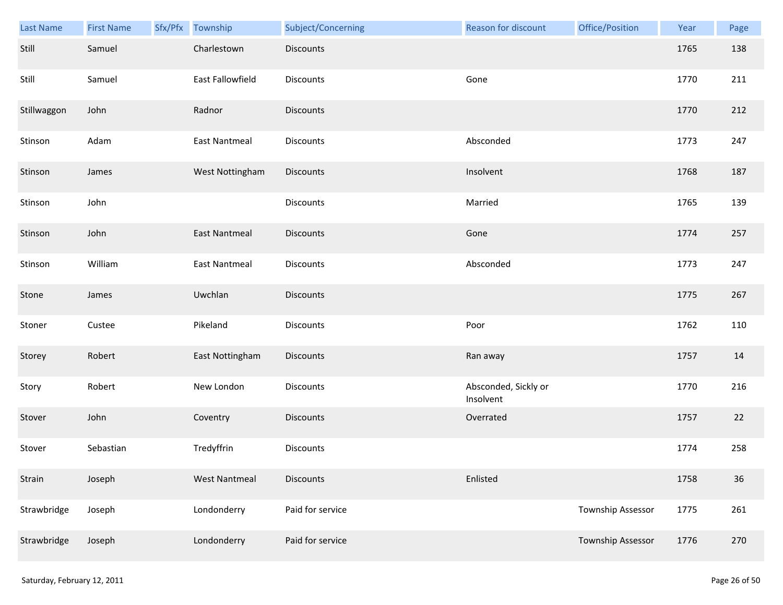| Last Name   | <b>First Name</b> | Sfx/Pfx Township     | Subject/Concerning | Reason for discount               | Office/Position   | Year | Page |
|-------------|-------------------|----------------------|--------------------|-----------------------------------|-------------------|------|------|
| Still       | Samuel            | Charlestown          | <b>Discounts</b>   |                                   |                   | 1765 | 138  |
| Still       | Samuel            | East Fallowfield     | <b>Discounts</b>   | Gone                              |                   | 1770 | 211  |
| Stillwaggon | John              | Radnor               | <b>Discounts</b>   |                                   |                   | 1770 | 212  |
| Stinson     | Adam              | <b>East Nantmeal</b> | <b>Discounts</b>   | Absconded                         |                   | 1773 | 247  |
| Stinson     | James             | West Nottingham      | <b>Discounts</b>   | Insolvent                         |                   | 1768 | 187  |
| Stinson     | John              |                      | Discounts          | Married                           |                   | 1765 | 139  |
| Stinson     | John              | <b>East Nantmeal</b> | <b>Discounts</b>   | Gone                              |                   | 1774 | 257  |
| Stinson     | William           | East Nantmeal        | Discounts          | Absconded                         |                   | 1773 | 247  |
| Stone       | James             | Uwchlan              | <b>Discounts</b>   |                                   |                   | 1775 | 267  |
| Stoner      | Custee            | Pikeland             | Discounts          | Poor                              |                   | 1762 | 110  |
| Storey      | Robert            | East Nottingham      | <b>Discounts</b>   | Ran away                          |                   | 1757 | 14   |
| Story       | Robert            | New London           | Discounts          | Absconded, Sickly or<br>Insolvent |                   | 1770 | 216  |
| Stover      | John              | Coventry             | Discounts          | Overrated                         |                   | 1757 | 22   |
| Stover      | Sebastian         | Tredyffrin           | Discounts          |                                   |                   | 1774 | 258  |
| Strain      | Joseph            | <b>West Nantmeal</b> | <b>Discounts</b>   | Enlisted                          |                   | 1758 | 36   |
| Strawbridge | Joseph            | Londonderry          | Paid for service   |                                   | Township Assessor | 1775 | 261  |
| Strawbridge | Joseph            | Londonderry          | Paid for service   |                                   | Township Assessor | 1776 | 270  |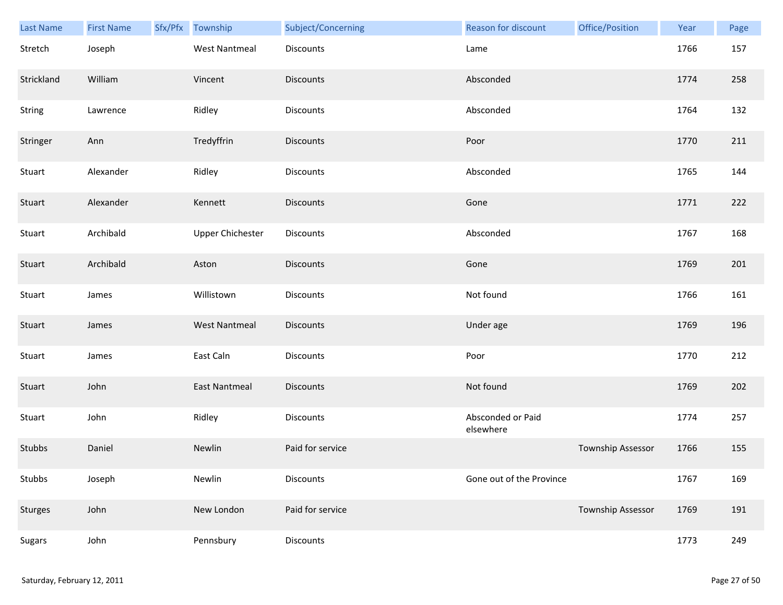| Last Name      | <b>First Name</b> | Sfx/Pfx Township        | Subject/Concerning | <b>Reason for discount</b>     | Office/Position          | Year | Page |
|----------------|-------------------|-------------------------|--------------------|--------------------------------|--------------------------|------|------|
| Stretch        | Joseph            | <b>West Nantmeal</b>    | Discounts          | Lame                           |                          | 1766 | 157  |
| Strickland     | William           | Vincent                 | <b>Discounts</b>   | Absconded                      |                          | 1774 | 258  |
| String         | Lawrence          | Ridley                  | Discounts          | Absconded                      |                          | 1764 | 132  |
| Stringer       | Ann               | Tredyffrin              | <b>Discounts</b>   | Poor                           |                          | 1770 | 211  |
| Stuart         | Alexander         | Ridley                  | Discounts          | Absconded                      |                          | 1765 | 144  |
| Stuart         | Alexander         | Kennett                 | <b>Discounts</b>   | Gone                           |                          | 1771 | 222  |
| Stuart         | Archibald         | <b>Upper Chichester</b> | Discounts          | Absconded                      |                          | 1767 | 168  |
| Stuart         | Archibald         | Aston                   | Discounts          | Gone                           |                          | 1769 | 201  |
| Stuart         | James             | Willistown              | Discounts          | Not found                      |                          | 1766 | 161  |
| Stuart         | James             | <b>West Nantmeal</b>    | Discounts          | Under age                      |                          | 1769 | 196  |
| Stuart         | James             | East Caln               | Discounts          | Poor                           |                          | 1770 | 212  |
| Stuart         | John              | <b>East Nantmeal</b>    | <b>Discounts</b>   | Not found                      |                          | 1769 | 202  |
| Stuart         | John              | Ridley                  | Discounts          | Absconded or Paid<br>elsewhere |                          | 1774 | 257  |
| Stubbs         | Daniel            | Newlin                  | Paid for service   |                                | Township Assessor        | 1766 | 155  |
| Stubbs         | Joseph            | Newlin                  | Discounts          | Gone out of the Province       |                          | 1767 | 169  |
| <b>Sturges</b> | John              | New London              | Paid for service   |                                | <b>Township Assessor</b> | 1769 | 191  |
| Sugars         | John              | Pennsbury               | Discounts          |                                |                          | 1773 | 249  |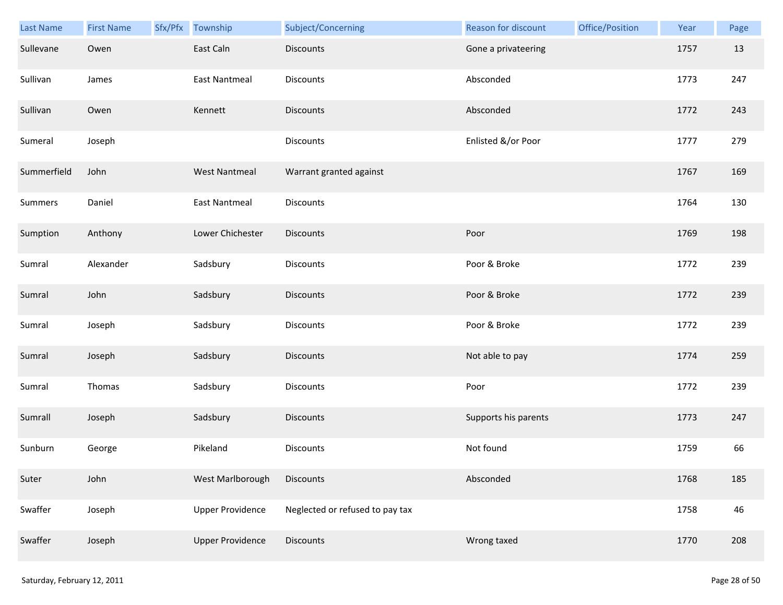| Last Name   | <b>First Name</b> | Sfx/Pfx | Township                | Subject/Concerning              | Reason for discount  | Office/Position | Year | Page |
|-------------|-------------------|---------|-------------------------|---------------------------------|----------------------|-----------------|------|------|
| Sullevane   | Owen              |         | East Caln               | <b>Discounts</b>                | Gone a privateering  |                 | 1757 | 13   |
| Sullivan    | James             |         | East Nantmeal           | Discounts                       | Absconded            |                 | 1773 | 247  |
| Sullivan    | Owen              |         | Kennett                 | <b>Discounts</b>                | Absconded            |                 | 1772 | 243  |
| Sumeral     | Joseph            |         |                         | Discounts                       | Enlisted &/or Poor   |                 | 1777 | 279  |
| Summerfield | John              |         | <b>West Nantmeal</b>    | Warrant granted against         |                      |                 | 1767 | 169  |
| Summers     | Daniel            |         | <b>East Nantmeal</b>    | Discounts                       |                      |                 | 1764 | 130  |
| Sumption    | Anthony           |         | Lower Chichester        | <b>Discounts</b>                | Poor                 |                 | 1769 | 198  |
| Sumral      | Alexander         |         | Sadsbury                | Discounts                       | Poor & Broke         |                 | 1772 | 239  |
| Sumral      | John              |         | Sadsbury                | <b>Discounts</b>                | Poor & Broke         |                 | 1772 | 239  |
| Sumral      | Joseph            |         | Sadsbury                | Discounts                       | Poor & Broke         |                 | 1772 | 239  |
| Sumral      | Joseph            |         | Sadsbury                | <b>Discounts</b>                | Not able to pay      |                 | 1774 | 259  |
| Sumral      | Thomas            |         | Sadsbury                | Discounts                       | Poor                 |                 | 1772 | 239  |
| Sumrall     | Joseph            |         | Sadsbury                | Discounts                       | Supports his parents |                 | 1773 | 247  |
| Sunburn     | George            |         | Pikeland                | <b>Discounts</b>                | Not found            |                 | 1759 | 66   |
| Suter       | John              |         | West Marlborough        | <b>Discounts</b>                | Absconded            |                 | 1768 | 185  |
| Swaffer     | Joseph            |         | <b>Upper Providence</b> | Neglected or refused to pay tax |                      |                 | 1758 | 46   |
| Swaffer     | Joseph            |         | <b>Upper Providence</b> | <b>Discounts</b>                | Wrong taxed          |                 | 1770 | 208  |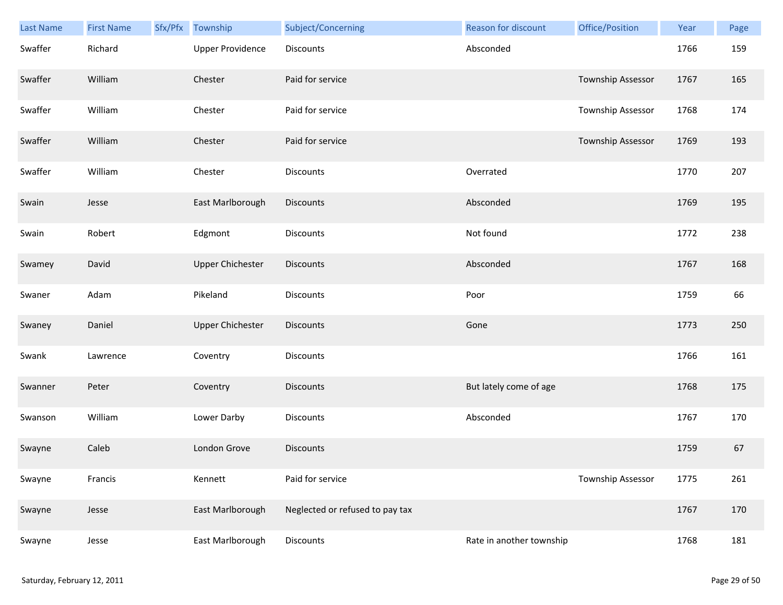| Last Name | <b>First Name</b> | Sfx/Pfx Township        | Subject/Concerning              | Reason for discount      | Office/Position          | Year | Page |
|-----------|-------------------|-------------------------|---------------------------------|--------------------------|--------------------------|------|------|
| Swaffer   | Richard           | <b>Upper Providence</b> | <b>Discounts</b>                | Absconded                |                          | 1766 | 159  |
| Swaffer   | William           | Chester                 | Paid for service                |                          | <b>Township Assessor</b> | 1767 | 165  |
| Swaffer   | William           | Chester                 | Paid for service                |                          | Township Assessor        | 1768 | 174  |
| Swaffer   | William           | Chester                 | Paid for service                |                          | Township Assessor        | 1769 | 193  |
| Swaffer   | William           | Chester                 | Discounts                       | Overrated                |                          | 1770 | 207  |
| Swain     | Jesse             | East Marlborough        | <b>Discounts</b>                | Absconded                |                          | 1769 | 195  |
| Swain     | Robert            | Edgmont                 | Discounts                       | Not found                |                          | 1772 | 238  |
| Swamey    | David             | <b>Upper Chichester</b> | Discounts                       | Absconded                |                          | 1767 | 168  |
| Swaner    | Adam              | Pikeland                | <b>Discounts</b>                | Poor                     |                          | 1759 | 66   |
| Swaney    | Daniel            | <b>Upper Chichester</b> | <b>Discounts</b>                | Gone                     |                          | 1773 | 250  |
| Swank     | Lawrence          | Coventry                | Discounts                       |                          |                          | 1766 | 161  |
| Swanner   | Peter             | Coventry                | Discounts                       | But lately come of age   |                          | 1768 | 175  |
| Swanson   | William           | Lower Darby             | Discounts                       | Absconded                |                          | 1767 | 170  |
| Swayne    | Caleb             | London Grove            | <b>Discounts</b>                |                          |                          | 1759 | 67   |
| Swayne    | Francis           | Kennett                 | Paid for service                |                          | Township Assessor        | 1775 | 261  |
| Swayne    | Jesse             | East Marlborough        | Neglected or refused to pay tax |                          |                          | 1767 | 170  |
| Swayne    | Jesse             | East Marlborough        | Discounts                       | Rate in another township |                          | 1768 | 181  |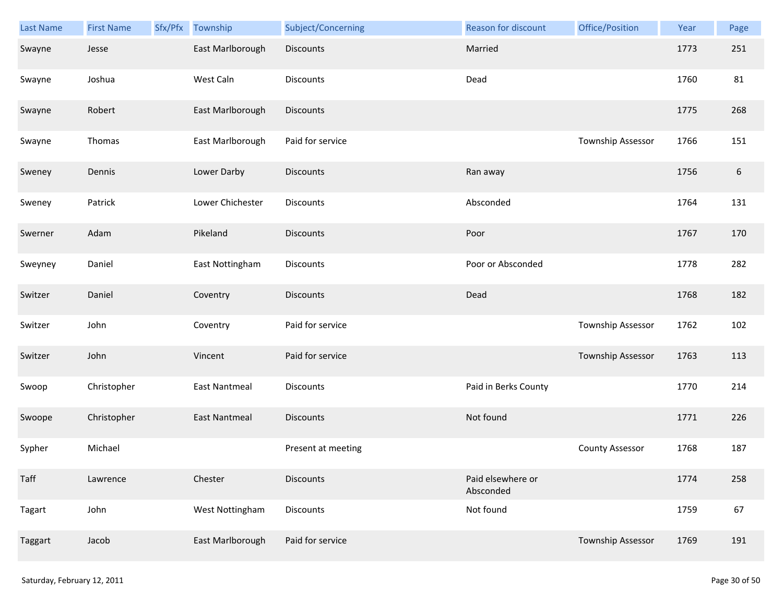| Last Name | <b>First Name</b> | Sfx/Pfx Township     | Subject/Concerning | Reason for discount            | Office/Position        | Year | Page             |
|-----------|-------------------|----------------------|--------------------|--------------------------------|------------------------|------|------------------|
| Swayne    | Jesse             | East Marlborough     | <b>Discounts</b>   | Married                        |                        | 1773 | 251              |
| Swayne    | Joshua            | West Caln            | Discounts          | Dead                           |                        | 1760 | 81               |
| Swayne    | Robert            | East Marlborough     | <b>Discounts</b>   |                                |                        | 1775 | 268              |
| Swayne    | Thomas            | East Marlborough     | Paid for service   |                                | Township Assessor      | 1766 | 151              |
| Sweney    | Dennis            | Lower Darby          | <b>Discounts</b>   | Ran away                       |                        | 1756 | $\boldsymbol{6}$ |
| Sweney    | Patrick           | Lower Chichester     | Discounts          | Absconded                      |                        | 1764 | 131              |
| Swerner   | Adam              | Pikeland             | Discounts          | Poor                           |                        | 1767 | 170              |
| Sweyney   | Daniel            | East Nottingham      | Discounts          | Poor or Absconded              |                        | 1778 | 282              |
| Switzer   | Daniel            | Coventry             | <b>Discounts</b>   | Dead                           |                        | 1768 | 182              |
| Switzer   | John              | Coventry             | Paid for service   |                                | Township Assessor      | 1762 | 102              |
| Switzer   | John              | Vincent              | Paid for service   |                                | Township Assessor      | 1763 | 113              |
| Swoop     | Christopher       | <b>East Nantmeal</b> | Discounts          | Paid in Berks County           |                        | 1770 | 214              |
| Swoope    | Christopher       | <b>East Nantmeal</b> | <b>Discounts</b>   | Not found                      |                        | 1771 | 226              |
| Sypher    | Michael           |                      | Present at meeting |                                | <b>County Assessor</b> | 1768 | 187              |
| Taff      | Lawrence          | Chester              | <b>Discounts</b>   | Paid elsewhere or<br>Absconded |                        | 1774 | 258              |
| Tagart    | John              | West Nottingham      | <b>Discounts</b>   | Not found                      |                        | 1759 | 67               |
| Taggart   | Jacob             | East Marlborough     | Paid for service   |                                | Township Assessor      | 1769 | 191              |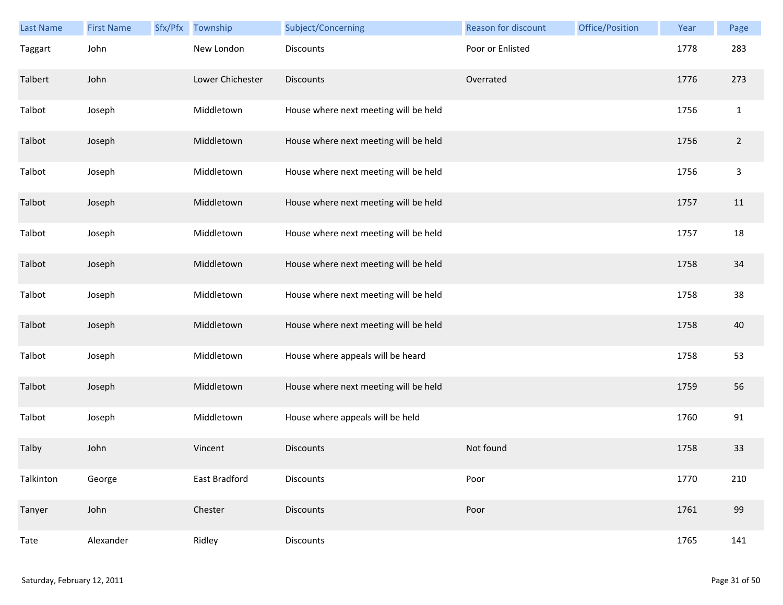| Last Name | <b>First Name</b> | Sfx/Pfx | Township         | Subject/Concerning                    | Reason for discount | Office/Position | Year | Page           |
|-----------|-------------------|---------|------------------|---------------------------------------|---------------------|-----------------|------|----------------|
| Taggart   | John              |         | New London       | Discounts                             | Poor or Enlisted    |                 | 1778 | 283            |
| Talbert   | John              |         | Lower Chichester | <b>Discounts</b>                      | Overrated           |                 | 1776 | 273            |
| Talbot    | Joseph            |         | Middletown       | House where next meeting will be held |                     |                 | 1756 | $\mathbf{1}$   |
| Talbot    | Joseph            |         | Middletown       | House where next meeting will be held |                     |                 | 1756 | $\overline{2}$ |
| Talbot    | Joseph            |         | Middletown       | House where next meeting will be held |                     |                 | 1756 | $\mathsf{3}$   |
| Talbot    | Joseph            |         | Middletown       | House where next meeting will be held |                     |                 | 1757 | 11             |
| Talbot    | Joseph            |         | Middletown       | House where next meeting will be held |                     |                 | 1757 | 18             |
| Talbot    | Joseph            |         | Middletown       | House where next meeting will be held |                     |                 | 1758 | 34             |
| Talbot    | Joseph            |         | Middletown       | House where next meeting will be held |                     |                 | 1758 | 38             |
| Talbot    | Joseph            |         | Middletown       | House where next meeting will be held |                     |                 | 1758 | 40             |
| Talbot    | Joseph            |         | Middletown       | House where appeals will be heard     |                     |                 | 1758 | 53             |
| Talbot    | Joseph            |         | Middletown       | House where next meeting will be held |                     |                 | 1759 | 56             |
| Talbot    | Joseph            |         | Middletown       | House where appeals will be held      |                     |                 | 1760 | 91             |
| Talby     | John              |         | Vincent          | <b>Discounts</b>                      | Not found           |                 | 1758 | 33             |
| Talkinton | George            |         | East Bradford    | Discounts                             | Poor                |                 | 1770 | 210            |
| Tanyer    | John              |         | Chester          | <b>Discounts</b>                      | Poor                |                 | 1761 | 99             |
| Tate      | Alexander         |         | Ridley           | Discounts                             |                     |                 | 1765 | 141            |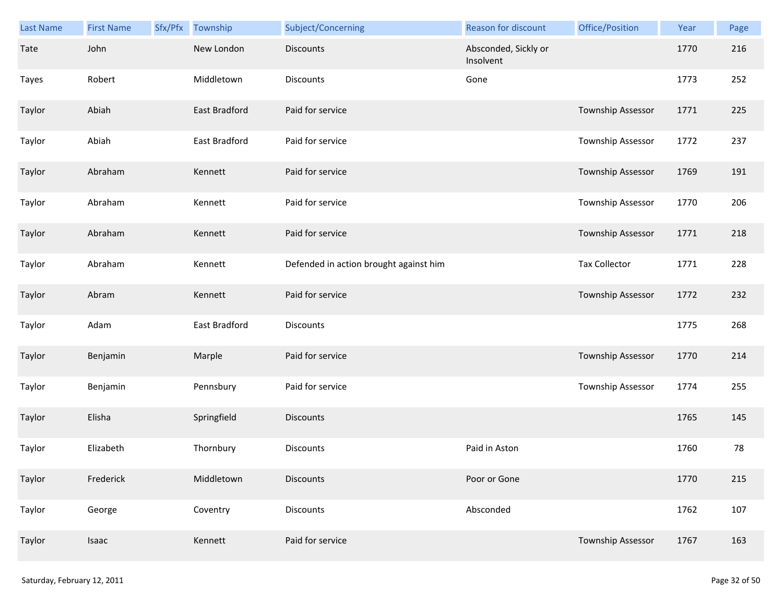| <b>Last Name</b> | <b>First Name</b> | Sfx/Pfx | Township      | Subject/Concerning                     | Reason for discount               | Office/Position          | Year | Page |
|------------------|-------------------|---------|---------------|----------------------------------------|-----------------------------------|--------------------------|------|------|
| Tate             | John              |         | New London    | <b>Discounts</b>                       | Absconded, Sickly or<br>Insolvent |                          | 1770 | 216  |
| Tayes            | Robert            |         | Middletown    | Discounts                              | Gone                              |                          | 1773 | 252  |
| Taylor           | Abiah             |         | East Bradford | Paid for service                       |                                   | Township Assessor        | 1771 | 225  |
| Taylor           | Abiah             |         | East Bradford | Paid for service                       |                                   | Township Assessor        | 1772 | 237  |
| Taylor           | Abraham           |         | Kennett       | Paid for service                       |                                   | Township Assessor        | 1769 | 191  |
| Taylor           | Abraham           |         | Kennett       | Paid for service                       |                                   | Township Assessor        | 1770 | 206  |
| Taylor           | Abraham           |         | Kennett       | Paid for service                       |                                   | Township Assessor        | 1771 | 218  |
| Taylor           | Abraham           |         | Kennett       | Defended in action brought against him |                                   | <b>Tax Collector</b>     | 1771 | 228  |
| Taylor           | Abram             |         | Kennett       | Paid for service                       |                                   | Township Assessor        | 1772 | 232  |
| Taylor           | Adam              |         | East Bradford | Discounts                              |                                   |                          | 1775 | 268  |
| Taylor           | Benjamin          |         | Marple        | Paid for service                       |                                   | Township Assessor        | 1770 | 214  |
| Taylor           | Benjamin          |         | Pennsbury     | Paid for service                       |                                   | Township Assessor        | 1774 | 255  |
| Taylor           | Elisha            |         | Springfield   | <b>Discounts</b>                       |                                   |                          | 1765 | 145  |
| Taylor           | Elizabeth         |         | Thornbury     | Discounts                              | Paid in Aston                     |                          | 1760 | 78   |
| Taylor           | Frederick         |         | Middletown    | <b>Discounts</b>                       | Poor or Gone                      |                          | 1770 | 215  |
| Taylor           | George            |         | Coventry      | Discounts                              | Absconded                         |                          | 1762 | 107  |
| Taylor           | Isaac             |         | Kennett       | Paid for service                       |                                   | <b>Township Assessor</b> | 1767 | 163  |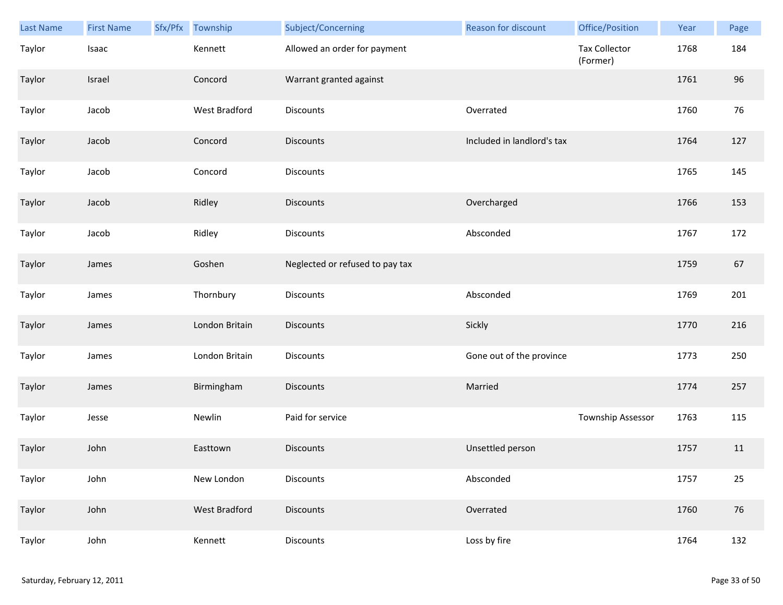| Last Name | <b>First Name</b> | Sfx/Pfx | Township       | Subject/Concerning              | <b>Reason for discount</b> | Office/Position                  | Year | Page   |
|-----------|-------------------|---------|----------------|---------------------------------|----------------------------|----------------------------------|------|--------|
| Taylor    | Isaac             |         | Kennett        | Allowed an order for payment    |                            | <b>Tax Collector</b><br>(Former) | 1768 | 184    |
| Taylor    | Israel            |         | Concord        | Warrant granted against         |                            |                                  | 1761 | 96     |
| Taylor    | Jacob             |         | West Bradford  | Discounts                       | Overrated                  |                                  | 1760 | 76     |
| Taylor    | Jacob             |         | Concord        | <b>Discounts</b>                | Included in landlord's tax |                                  | 1764 | 127    |
| Taylor    | Jacob             |         | Concord        | Discounts                       |                            |                                  | 1765 | 145    |
| Taylor    | Jacob             |         | Ridley         | <b>Discounts</b>                | Overcharged                |                                  | 1766 | 153    |
| Taylor    | Jacob             |         | Ridley         | Discounts                       | Absconded                  |                                  | 1767 | 172    |
| Taylor    | James             |         | Goshen         | Neglected or refused to pay tax |                            |                                  | 1759 | 67     |
| Taylor    | James             |         | Thornbury      | Discounts                       | Absconded                  |                                  | 1769 | 201    |
| Taylor    | James             |         | London Britain | <b>Discounts</b>                | Sickly                     |                                  | 1770 | 216    |
| Taylor    | James             |         | London Britain | Discounts                       | Gone out of the province   |                                  | 1773 | 250    |
| Taylor    | James             |         | Birmingham     | <b>Discounts</b>                | Married                    |                                  | 1774 | 257    |
| Taylor    | Jesse             |         | Newlin         | Paid for service                |                            | Township Assessor                | 1763 | 115    |
| Taylor    | John              |         | Easttown       | <b>Discounts</b>                | Unsettled person           |                                  | 1757 | 11     |
| Taylor    | John              |         | New London     | Discounts                       | Absconded                  |                                  | 1757 | $25\,$ |
| Taylor    | John              |         | West Bradford  | Discounts                       | Overrated                  |                                  | 1760 | 76     |
| Taylor    | John              |         | Kennett        | Discounts                       | Loss by fire               |                                  | 1764 | 132    |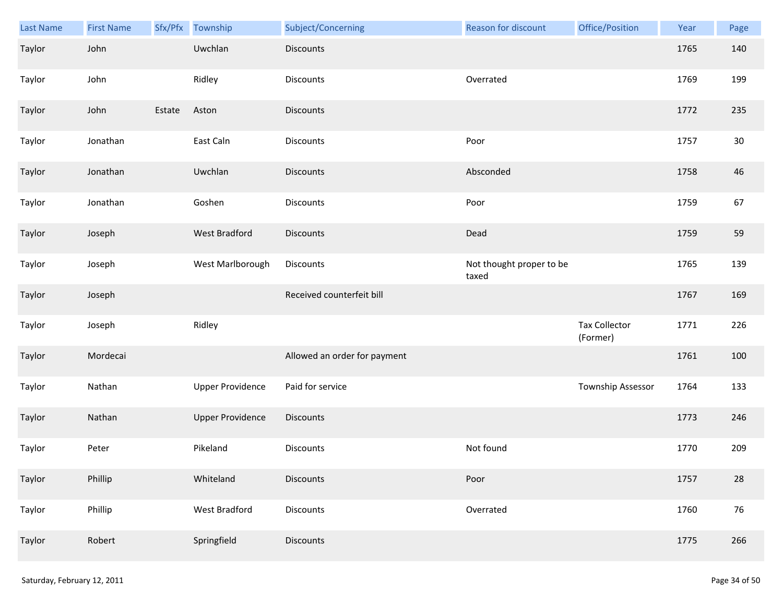| Last Name | <b>First Name</b> |        | Sfx/Pfx Township        | Subject/Concerning           | Reason for discount               | Office/Position                  | Year | Page |
|-----------|-------------------|--------|-------------------------|------------------------------|-----------------------------------|----------------------------------|------|------|
| Taylor    | John              |        | Uwchlan                 | <b>Discounts</b>             |                                   |                                  | 1765 | 140  |
| Taylor    | John              |        | Ridley                  | <b>Discounts</b>             | Overrated                         |                                  | 1769 | 199  |
| Taylor    | John              | Estate | Aston                   | Discounts                    |                                   |                                  | 1772 | 235  |
| Taylor    | Jonathan          |        | East Caln               | <b>Discounts</b>             | Poor                              |                                  | 1757 | 30   |
| Taylor    | Jonathan          |        | Uwchlan                 | <b>Discounts</b>             | Absconded                         |                                  | 1758 | 46   |
| Taylor    | Jonathan          |        | Goshen                  | <b>Discounts</b>             | Poor                              |                                  | 1759 | 67   |
| Taylor    | Joseph            |        | <b>West Bradford</b>    | Discounts                    | Dead                              |                                  | 1759 | 59   |
| Taylor    | Joseph            |        | West Marlborough        | Discounts                    | Not thought proper to be<br>taxed |                                  | 1765 | 139  |
| Taylor    | Joseph            |        |                         | Received counterfeit bill    |                                   |                                  | 1767 | 169  |
| Taylor    | Joseph            |        | Ridley                  |                              |                                   | <b>Tax Collector</b><br>(Former) | 1771 | 226  |
| Taylor    | Mordecai          |        |                         | Allowed an order for payment |                                   |                                  | 1761 | 100  |
| Taylor    | Nathan            |        | <b>Upper Providence</b> | Paid for service             |                                   | Township Assessor                | 1764 | 133  |
| Taylor    | Nathan            |        | <b>Upper Providence</b> | Discounts                    |                                   |                                  | 1773 | 246  |
| Taylor    | Peter             |        | Pikeland                | <b>Discounts</b>             | Not found                         |                                  | 1770 | 209  |
| Taylor    | Phillip           |        | Whiteland               | <b>Discounts</b>             | Poor                              |                                  | 1757 | 28   |
| Taylor    | Phillip           |        | West Bradford           | <b>Discounts</b>             | Overrated                         |                                  | 1760 | 76   |
| Taylor    | Robert            |        | Springfield             | Discounts                    |                                   |                                  | 1775 | 266  |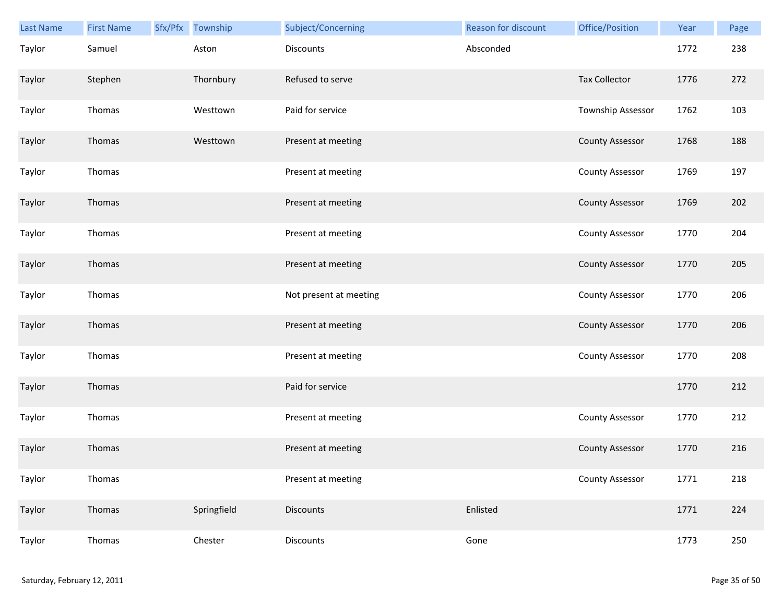| Last Name | <b>First Name</b> | Sfx/Pfx Township | Subject/Concerning     | Reason for discount | Office/Position        | Year | Page |
|-----------|-------------------|------------------|------------------------|---------------------|------------------------|------|------|
| Taylor    | Samuel            | Aston            | Discounts              | Absconded           |                        | 1772 | 238  |
| Taylor    | Stephen           | Thornbury        | Refused to serve       |                     | <b>Tax Collector</b>   | 1776 | 272  |
| Taylor    | Thomas            | Westtown         | Paid for service       |                     | Township Assessor      | 1762 | 103  |
| Taylor    | Thomas            | Westtown         | Present at meeting     |                     | <b>County Assessor</b> | 1768 | 188  |
| Taylor    | Thomas            |                  | Present at meeting     |                     | County Assessor        | 1769 | 197  |
| Taylor    | Thomas            |                  | Present at meeting     |                     | <b>County Assessor</b> | 1769 | 202  |
| Taylor    | Thomas            |                  | Present at meeting     |                     | <b>County Assessor</b> | 1770 | 204  |
| Taylor    | Thomas            |                  | Present at meeting     |                     | <b>County Assessor</b> | 1770 | 205  |
| Taylor    | Thomas            |                  | Not present at meeting |                     | County Assessor        | 1770 | 206  |
| Taylor    | Thomas            |                  | Present at meeting     |                     | <b>County Assessor</b> | 1770 | 206  |
| Taylor    | Thomas            |                  | Present at meeting     |                     | <b>County Assessor</b> | 1770 | 208  |
| Taylor    | Thomas            |                  | Paid for service       |                     |                        | 1770 | 212  |
| Taylor    | Thomas            |                  | Present at meeting     |                     | <b>County Assessor</b> | 1770 | 212  |
| Taylor    | Thomas            |                  | Present at meeting     |                     | <b>County Assessor</b> | 1770 | 216  |
| Taylor    | Thomas            |                  | Present at meeting     |                     | <b>County Assessor</b> | 1771 | 218  |
| Taylor    | Thomas            | Springfield      | <b>Discounts</b>       | Enlisted            |                        | 1771 | 224  |
| Taylor    | Thomas            | Chester          | Discounts              | Gone                |                        | 1773 | 250  |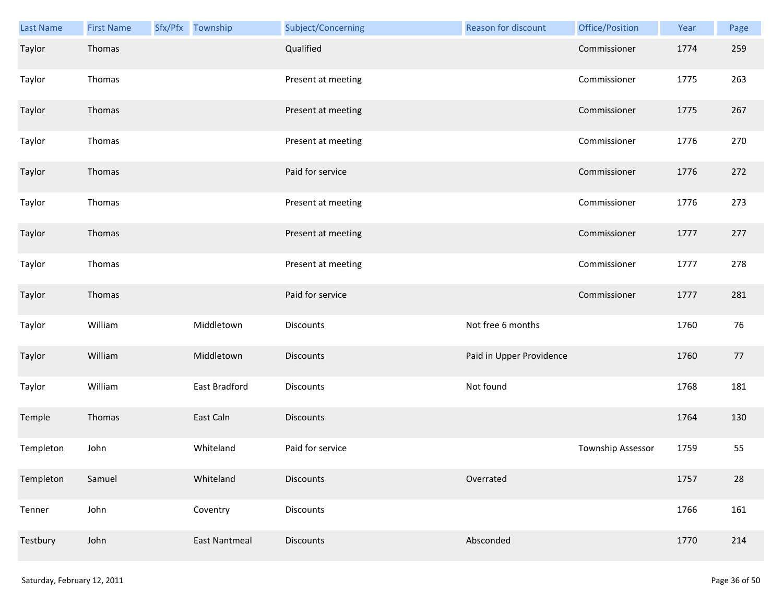| Last Name | <b>First Name</b> | Sfx/Pfx Township | Subject/Concerning | <b>Reason for discount</b> | Office/Position   | Year | Page |
|-----------|-------------------|------------------|--------------------|----------------------------|-------------------|------|------|
| Taylor    | Thomas            |                  | Qualified          |                            | Commissioner      | 1774 | 259  |
| Taylor    | Thomas            |                  | Present at meeting |                            | Commissioner      | 1775 | 263  |
| Taylor    | Thomas            |                  | Present at meeting |                            | Commissioner      | 1775 | 267  |
| Taylor    | Thomas            |                  | Present at meeting |                            | Commissioner      | 1776 | 270  |
| Taylor    | Thomas            |                  | Paid for service   |                            | Commissioner      | 1776 | 272  |
| Taylor    | Thomas            |                  | Present at meeting |                            | Commissioner      | 1776 | 273  |
| Taylor    | Thomas            |                  | Present at meeting |                            | Commissioner      | 1777 | 277  |
| Taylor    | Thomas            |                  | Present at meeting |                            | Commissioner      | 1777 | 278  |
| Taylor    | Thomas            |                  | Paid for service   |                            | Commissioner      | 1777 | 281  |
| Taylor    | William           | Middletown       | Discounts          | Not free 6 months          |                   | 1760 | 76   |
| Taylor    | William           | Middletown       | <b>Discounts</b>   | Paid in Upper Providence   |                   | 1760 | 77   |
| Taylor    | William           | East Bradford    | Discounts          | Not found                  |                   | 1768 | 181  |
| Temple    | Thomas            | East Caln        | <b>Discounts</b>   |                            |                   | 1764 | 130  |
| Templeton | John              | Whiteland        | Paid for service   |                            | Township Assessor | 1759 | 55   |
| Templeton | Samuel            | Whiteland        | <b>Discounts</b>   | Overrated                  |                   | 1757 | 28   |
| Tenner    | John              | Coventry         | Discounts          |                            |                   | 1766 | 161  |
| Testbury  | John              | East Nantmeal    | <b>Discounts</b>   | Absconded                  |                   | 1770 | 214  |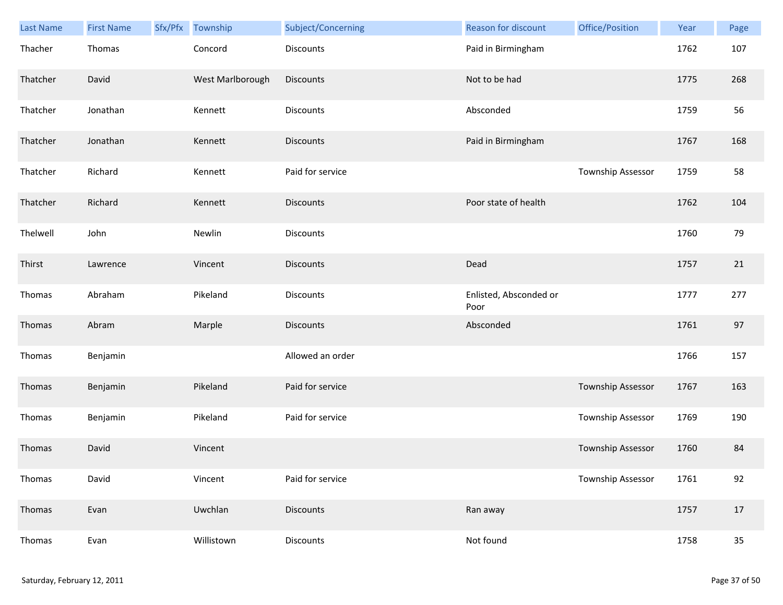| <b>Last Name</b> | <b>First Name</b> | Sfx/Pfx Township | Subject/Concerning | Reason for discount            | Office/Position          | Year | Page   |
|------------------|-------------------|------------------|--------------------|--------------------------------|--------------------------|------|--------|
| Thacher          | Thomas            | Concord          | <b>Discounts</b>   | Paid in Birmingham             |                          | 1762 | 107    |
| Thatcher         | David             | West Marlborough | <b>Discounts</b>   | Not to be had                  |                          | 1775 | 268    |
| Thatcher         | Jonathan          | Kennett          | Discounts          | Absconded                      |                          | 1759 | 56     |
| Thatcher         | Jonathan          | Kennett          | <b>Discounts</b>   | Paid in Birmingham             |                          | 1767 | 168    |
| Thatcher         | Richard           | Kennett          | Paid for service   |                                | Township Assessor        | 1759 | 58     |
| Thatcher         | Richard           | Kennett          | <b>Discounts</b>   | Poor state of health           |                          | 1762 | 104    |
| Thelwell         | John              | Newlin           | <b>Discounts</b>   |                                |                          | 1760 | 79     |
| Thirst           | Lawrence          | Vincent          | <b>Discounts</b>   | Dead                           |                          | 1757 | 21     |
| Thomas           | Abraham           | Pikeland         | Discounts          | Enlisted, Absconded or<br>Poor |                          | 1777 | 277    |
| Thomas           | Abram             | Marple           | <b>Discounts</b>   | Absconded                      |                          | 1761 | 97     |
| Thomas           | Benjamin          |                  | Allowed an order   |                                |                          | 1766 | 157    |
| Thomas           | Benjamin          | Pikeland         | Paid for service   |                                | <b>Township Assessor</b> | 1767 | 163    |
| Thomas           | Benjamin          | Pikeland         | Paid for service   |                                | Township Assessor        | 1769 | 190    |
| Thomas           | David             | Vincent          |                    |                                | Township Assessor        | 1760 | 84     |
| Thomas           | David             | Vincent          | Paid for service   |                                | Township Assessor        | 1761 | 92     |
| Thomas           | Evan              | Uwchlan          | <b>Discounts</b>   | Ran away                       |                          | 1757 | 17     |
| Thomas           | Evan              | Willistown       | Discounts          | Not found                      |                          | 1758 | $35\,$ |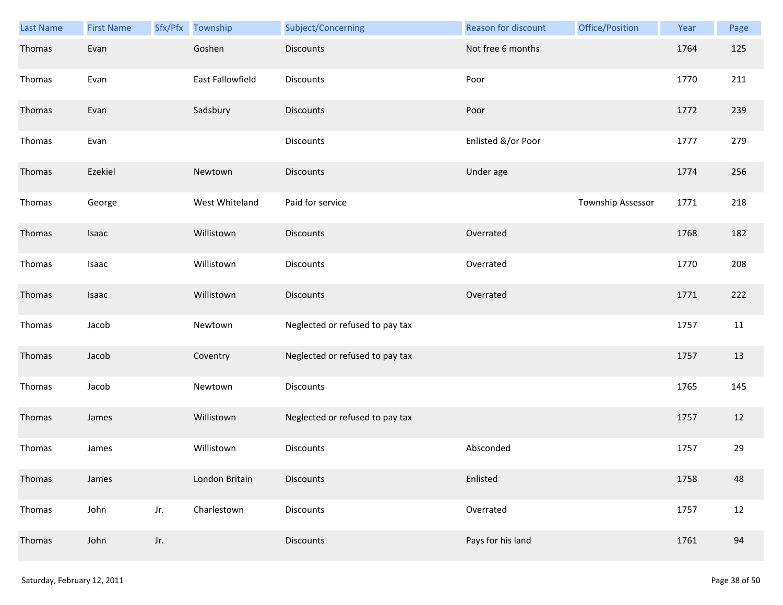| Last Name | <b>First Name</b> | Sfx/Pfx | Township                | Subject/Concerning              | Reason for discount | Office/Position   | Year | Page |
|-----------|-------------------|---------|-------------------------|---------------------------------|---------------------|-------------------|------|------|
| Thomas    | Evan              |         | Goshen                  | <b>Discounts</b>                | Not free 6 months   |                   | 1764 | 125  |
| Thomas    | Evan              |         | <b>East Fallowfield</b> | <b>Discounts</b>                | Poor                |                   | 1770 | 211  |
| Thomas    | Evan              |         | Sadsbury                | <b>Discounts</b>                | Poor                |                   | 1772 | 239  |
| Thomas    | Evan              |         |                         | <b>Discounts</b>                | Enlisted &/or Poor  |                   | 1777 | 279  |
| Thomas    | Ezekiel           |         | Newtown                 | <b>Discounts</b>                | Under age           |                   | 1774 | 256  |
| Thomas    | George            |         | West Whiteland          | Paid for service                |                     | Township Assessor | 1771 | 218  |
| Thomas    | Isaac             |         | Willistown              | <b>Discounts</b>                | Overrated           |                   | 1768 | 182  |
| Thomas    | Isaac             |         | Willistown              | Discounts                       | Overrated           |                   | 1770 | 208  |
| Thomas    | Isaac             |         | Willistown              | <b>Discounts</b>                | Overrated           |                   | 1771 | 222  |
| Thomas    | Jacob             |         | Newtown                 | Neglected or refused to pay tax |                     |                   | 1757 | 11   |
| Thomas    | Jacob             |         | Coventry                | Neglected or refused to pay tax |                     |                   | 1757 | 13   |
| Thomas    | Jacob             |         | Newtown                 | Discounts                       |                     |                   | 1765 | 145  |
| Thomas    | James             |         | Willistown              | Neglected or refused to pay tax |                     |                   | 1757 | 12   |
| Thomas    | James             |         | Willistown              | <b>Discounts</b>                | Absconded           |                   | 1757 | 29   |
| Thomas    | James             |         | London Britain          | <b>Discounts</b>                | Enlisted            |                   | 1758 | 48   |
| Thomas    | John              | Jr.     | Charlestown             | Discounts                       | Overrated           |                   | 1757 | 12   |
| Thomas    | John              | Jr.     |                         | <b>Discounts</b>                | Pays for his land   |                   | 1761 | 94   |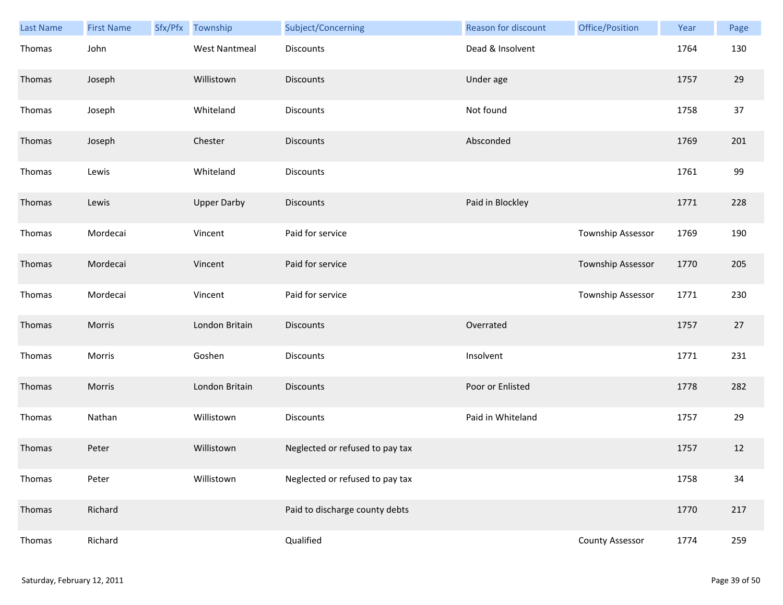| <b>Last Name</b> | <b>First Name</b> | Sfx/Pfx | Township             | Subject/Concerning              | Reason for discount | Office/Position        | Year | Page |
|------------------|-------------------|---------|----------------------|---------------------------------|---------------------|------------------------|------|------|
| Thomas           | John              |         | <b>West Nantmeal</b> | <b>Discounts</b>                | Dead & Insolvent    |                        | 1764 | 130  |
| Thomas           | Joseph            |         | Willistown           | <b>Discounts</b>                | Under age           |                        | 1757 | 29   |
| Thomas           | Joseph            |         | Whiteland            | Discounts                       | Not found           |                        | 1758 | 37   |
| Thomas           | Joseph            |         | Chester              | <b>Discounts</b>                | Absconded           |                        | 1769 | 201  |
| Thomas           | Lewis             |         | Whiteland            | <b>Discounts</b>                |                     |                        | 1761 | 99   |
| Thomas           | Lewis             |         | <b>Upper Darby</b>   | <b>Discounts</b>                | Paid in Blockley    |                        | 1771 | 228  |
| Thomas           | Mordecai          |         | Vincent              | Paid for service                |                     | Township Assessor      | 1769 | 190  |
| Thomas           | Mordecai          |         | Vincent              | Paid for service                |                     | Township Assessor      | 1770 | 205  |
| Thomas           | Mordecai          |         | Vincent              | Paid for service                |                     | Township Assessor      | 1771 | 230  |
| Thomas           | Morris            |         | London Britain       | <b>Discounts</b>                | Overrated           |                        | 1757 | 27   |
| Thomas           | Morris            |         | Goshen               | <b>Discounts</b>                | Insolvent           |                        | 1771 | 231  |
| Thomas           | Morris            |         | London Britain       | <b>Discounts</b>                | Poor or Enlisted    |                        | 1778 | 282  |
| Thomas           | Nathan            |         | Willistown           | Discounts                       | Paid in Whiteland   |                        | 1757 | 29   |
| Thomas           | Peter             |         | Willistown           | Neglected or refused to pay tax |                     |                        | 1757 | 12   |
| Thomas           | Peter             |         | Willistown           | Neglected or refused to pay tax |                     |                        | 1758 | 34   |
| Thomas           | Richard           |         |                      | Paid to discharge county debts  |                     |                        | 1770 | 217  |
| Thomas           | Richard           |         |                      | Qualified                       |                     | <b>County Assessor</b> | 1774 | 259  |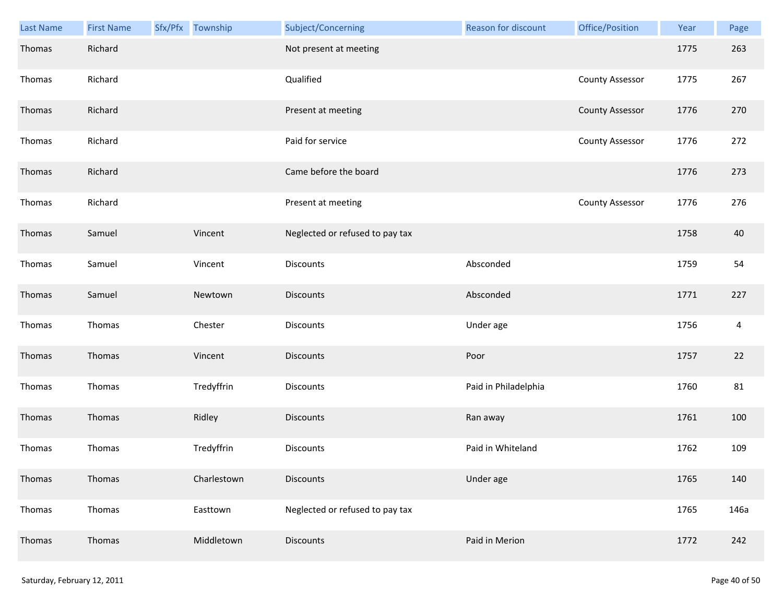| Last Name | <b>First Name</b> | Sfx/Pfx Township | Subject/Concerning              | Reason for discount  | Office/Position        | Year | Page           |
|-----------|-------------------|------------------|---------------------------------|----------------------|------------------------|------|----------------|
| Thomas    | Richard           |                  | Not present at meeting          |                      |                        | 1775 | 263            |
| Thomas    | Richard           |                  | Qualified                       |                      | <b>County Assessor</b> | 1775 | 267            |
| Thomas    | Richard           |                  | Present at meeting              |                      | <b>County Assessor</b> | 1776 | 270            |
| Thomas    | Richard           |                  | Paid for service                |                      | <b>County Assessor</b> | 1776 | 272            |
| Thomas    | Richard           |                  | Came before the board           |                      |                        | 1776 | 273            |
| Thomas    | Richard           |                  | Present at meeting              |                      | <b>County Assessor</b> | 1776 | 276            |
| Thomas    | Samuel            | Vincent          | Neglected or refused to pay tax |                      |                        | 1758 | 40             |
| Thomas    | Samuel            | Vincent          | Discounts                       | Absconded            |                        | 1759 | 54             |
| Thomas    | Samuel            | Newtown          | <b>Discounts</b>                | Absconded            |                        | 1771 | 227            |
| Thomas    | Thomas            | Chester          | Discounts                       | Under age            |                        | 1756 | $\overline{4}$ |
| Thomas    | Thomas            | Vincent          | Discounts                       | Poor                 |                        | 1757 | 22             |
| Thomas    | Thomas            | Tredyffrin       | Discounts                       | Paid in Philadelphia |                        | 1760 | 81             |
| Thomas    | Thomas            | Ridley           | <b>Discounts</b>                | Ran away             |                        | 1761 | 100            |
| Thomas    | Thomas            | Tredyffrin       | Discounts                       | Paid in Whiteland    |                        | 1762 | 109            |
| Thomas    | Thomas            | Charlestown      | <b>Discounts</b>                | Under age            |                        | 1765 | 140            |
| Thomas    | Thomas            | Easttown         | Neglected or refused to pay tax |                      |                        | 1765 | 146a           |
| Thomas    | Thomas            | Middletown       | <b>Discounts</b>                | Paid in Merion       |                        | 1772 | 242            |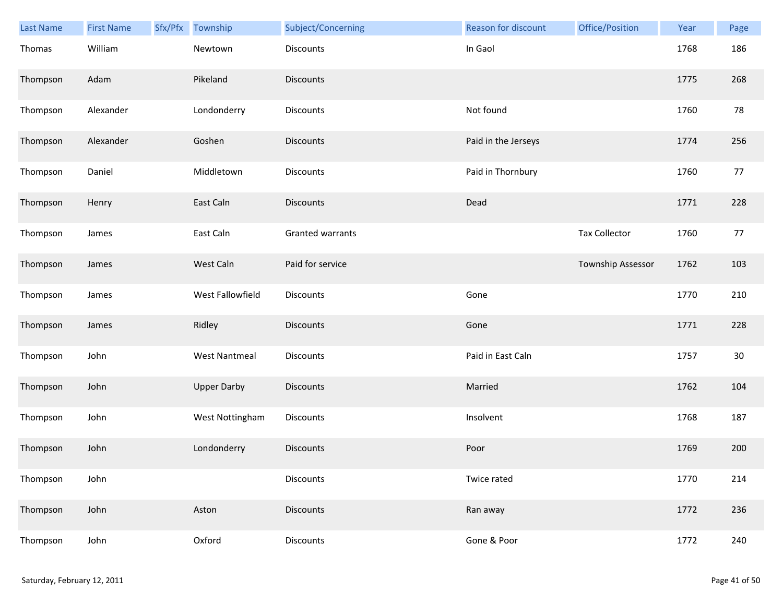| <b>Last Name</b> | <b>First Name</b> | Sfx/Pfx | Township             | Subject/Concerning | Reason for discount | Office/Position      | Year | Page |
|------------------|-------------------|---------|----------------------|--------------------|---------------------|----------------------|------|------|
| Thomas           | William           |         | Newtown              | Discounts          | In Gaol             |                      | 1768 | 186  |
| Thompson         | Adam              |         | Pikeland             | Discounts          |                     |                      | 1775 | 268  |
| Thompson         | Alexander         |         | Londonderry          | Discounts          | Not found           |                      | 1760 | 78   |
| Thompson         | Alexander         |         | Goshen               | <b>Discounts</b>   | Paid in the Jerseys |                      | 1774 | 256  |
| Thompson         | Daniel            |         | Middletown           | Discounts          | Paid in Thornbury   |                      | 1760 | 77   |
| Thompson         | Henry             |         | East Caln            | Discounts          | Dead                |                      | 1771 | 228  |
| Thompson         | James             |         | East Caln            | Granted warrants   |                     | <b>Tax Collector</b> | 1760 | 77   |
| Thompson         | James             |         | West Caln            | Paid for service   |                     | Township Assessor    | 1762 | 103  |
| Thompson         | James             |         | West Fallowfield     | Discounts          | Gone                |                      | 1770 | 210  |
| Thompson         | James             |         | Ridley               | Discounts          | Gone                |                      | 1771 | 228  |
| Thompson         | John              |         | <b>West Nantmeal</b> | <b>Discounts</b>   | Paid in East Caln   |                      | 1757 | 30   |
| Thompson         | John              |         | <b>Upper Darby</b>   | Discounts          | Married             |                      | 1762 | 104  |
| Thompson         | John              |         | West Nottingham      | Discounts          | Insolvent           |                      | 1768 | 187  |
| Thompson         | John              |         | Londonderry          | Discounts          | Poor                |                      | 1769 | 200  |
| Thompson         | John              |         |                      | <b>Discounts</b>   | Twice rated         |                      | 1770 | 214  |
| Thompson         | John              |         | Aston                | <b>Discounts</b>   | Ran away            |                      | 1772 | 236  |
| Thompson         | John              |         | Oxford               | Discounts          | Gone & Poor         |                      | 1772 | 240  |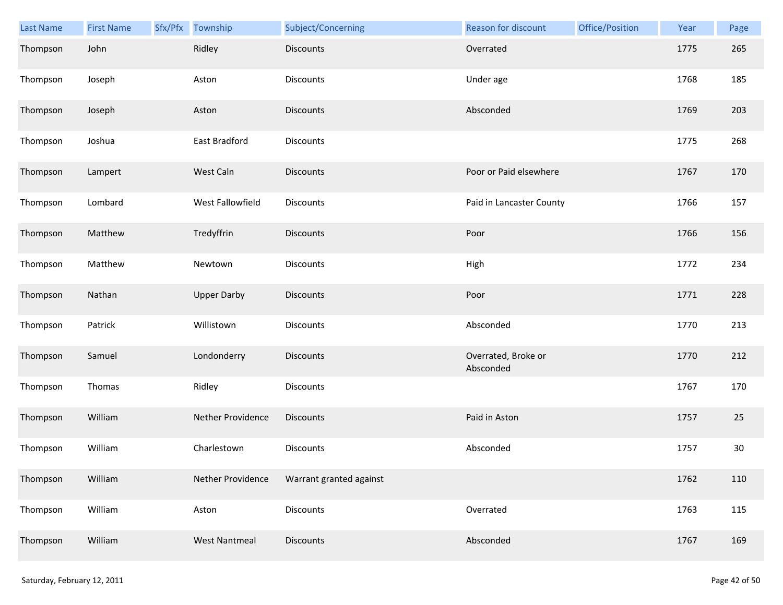| <b>Last Name</b> | <b>First Name</b> | Sfx/Pfx | Township             | Subject/Concerning      | Reason for discount              | Office/Position | Year | Page |
|------------------|-------------------|---------|----------------------|-------------------------|----------------------------------|-----------------|------|------|
| Thompson         | John              |         | Ridley               | <b>Discounts</b>        | Overrated                        |                 | 1775 | 265  |
| Thompson         | Joseph            |         | Aston                | Discounts               | Under age                        |                 | 1768 | 185  |
| Thompson         | Joseph            |         | Aston                | <b>Discounts</b>        | Absconded                        |                 | 1769 | 203  |
| Thompson         | Joshua            |         | East Bradford        | <b>Discounts</b>        |                                  |                 | 1775 | 268  |
| Thompson         | Lampert           |         | West Caln            | <b>Discounts</b>        | Poor or Paid elsewhere           |                 | 1767 | 170  |
| Thompson         | Lombard           |         | West Fallowfield     | Discounts               | Paid in Lancaster County         |                 | 1766 | 157  |
| Thompson         | Matthew           |         | Tredyffrin           | Discounts               | Poor                             |                 | 1766 | 156  |
| Thompson         | Matthew           |         | Newtown              | Discounts               | High                             |                 | 1772 | 234  |
| Thompson         | Nathan            |         | <b>Upper Darby</b>   | <b>Discounts</b>        | Poor                             |                 | 1771 | 228  |
| Thompson         | Patrick           |         | Willistown           | Discounts               | Absconded                        |                 | 1770 | 213  |
| Thompson         | Samuel            |         | Londonderry          | <b>Discounts</b>        | Overrated, Broke or<br>Absconded |                 | 1770 | 212  |
| Thompson         | Thomas            |         | Ridley               | Discounts               |                                  |                 | 1767 | 170  |
| Thompson         | William           |         | Nether Providence    | <b>Discounts</b>        | Paid in Aston                    |                 | 1757 | 25   |
| Thompson         | William           |         | Charlestown          | Discounts               | Absconded                        |                 | 1757 | 30   |
| Thompson         | William           |         | Nether Providence    | Warrant granted against |                                  |                 | 1762 | 110  |
| Thompson         | William           |         | Aston                | Discounts               | Overrated                        |                 | 1763 | 115  |
| Thompson         | William           |         | <b>West Nantmeal</b> | Discounts               | Absconded                        |                 | 1767 | 169  |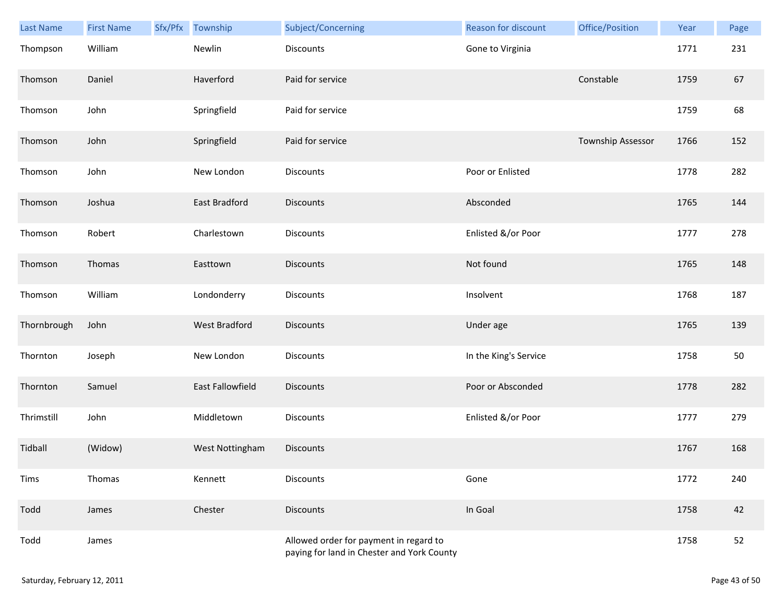| Last Name   | <b>First Name</b> | Sfx/Pfx | Township             | Subject/Concerning                                                                   | Reason for discount   | Office/Position   | Year | Page |
|-------------|-------------------|---------|----------------------|--------------------------------------------------------------------------------------|-----------------------|-------------------|------|------|
| Thompson    | William           |         | Newlin               | <b>Discounts</b>                                                                     | Gone to Virginia      |                   | 1771 | 231  |
| Thomson     | Daniel            |         | Haverford            | Paid for service                                                                     |                       | Constable         | 1759 | 67   |
| Thomson     | John              |         | Springfield          | Paid for service                                                                     |                       |                   | 1759 | 68   |
| Thomson     | John              |         | Springfield          | Paid for service                                                                     |                       | Township Assessor | 1766 | 152  |
| Thomson     | John              |         | New London           | Discounts                                                                            | Poor or Enlisted      |                   | 1778 | 282  |
| Thomson     | Joshua            |         | East Bradford        | <b>Discounts</b>                                                                     | Absconded             |                   | 1765 | 144  |
| Thomson     | Robert            |         | Charlestown          | Discounts                                                                            | Enlisted &/or Poor    |                   | 1777 | 278  |
| Thomson     | Thomas            |         | Easttown             | <b>Discounts</b>                                                                     | Not found             |                   | 1765 | 148  |
| Thomson     | William           |         | Londonderry          | Discounts                                                                            | Insolvent             |                   | 1768 | 187  |
| Thornbrough | John              |         | <b>West Bradford</b> | <b>Discounts</b>                                                                     | Under age             |                   | 1765 | 139  |
| Thornton    | Joseph            |         | New London           | Discounts                                                                            | In the King's Service |                   | 1758 | 50   |
| Thornton    | Samuel            |         | East Fallowfield     | <b>Discounts</b>                                                                     | Poor or Absconded     |                   | 1778 | 282  |
| Thrimstill  | John              |         | Middletown           | Discounts                                                                            | Enlisted &/or Poor    |                   | 1777 | 279  |
| Tidball     | (Widow)           |         | West Nottingham      | <b>Discounts</b>                                                                     |                       |                   | 1767 | 168  |
| Tims        | Thomas            |         | Kennett              | <b>Discounts</b>                                                                     | Gone                  |                   | 1772 | 240  |
| Todd        | James             |         | Chester              | <b>Discounts</b>                                                                     | In Goal               |                   | 1758 | 42   |
| Todd        | James             |         |                      | Allowed order for payment in regard to<br>paying for land in Chester and York County |                       |                   | 1758 | 52   |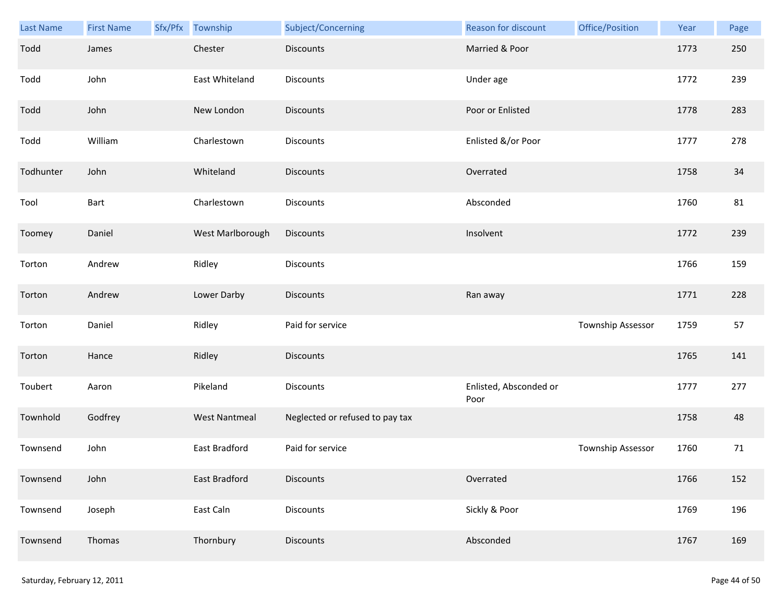| Last Name | <b>First Name</b> | Sfx/Pfx Township     | Subject/Concerning              | <b>Reason for discount</b>     | Office/Position   | Year | Page |
|-----------|-------------------|----------------------|---------------------------------|--------------------------------|-------------------|------|------|
| Todd      | James             | Chester              | <b>Discounts</b>                | Married & Poor                 |                   | 1773 | 250  |
| Todd      | John              | East Whiteland       | Discounts                       | Under age                      |                   | 1772 | 239  |
| Todd      | John              | New London           | <b>Discounts</b>                | Poor or Enlisted               |                   | 1778 | 283  |
| Todd      | William           | Charlestown          | <b>Discounts</b>                | Enlisted &/or Poor             |                   | 1777 | 278  |
| Todhunter | John              | Whiteland            | <b>Discounts</b>                | Overrated                      |                   | 1758 | 34   |
| Tool      | Bart              | Charlestown          | Discounts                       | Absconded                      |                   | 1760 | 81   |
| Toomey    | Daniel            | West Marlborough     | <b>Discounts</b>                | Insolvent                      |                   | 1772 | 239  |
| Torton    | Andrew            | Ridley               | Discounts                       |                                |                   | 1766 | 159  |
| Torton    | Andrew            | Lower Darby          | <b>Discounts</b>                | Ran away                       |                   | 1771 | 228  |
| Torton    | Daniel            | Ridley               | Paid for service                |                                | Township Assessor | 1759 | 57   |
| Torton    | Hance             | Ridley               | <b>Discounts</b>                |                                |                   | 1765 | 141  |
| Toubert   | Aaron             | Pikeland             | Discounts                       | Enlisted, Absconded or<br>Poor |                   | 1777 | 277  |
| Townhold  | Godfrey           | <b>West Nantmeal</b> | Neglected or refused to pay tax |                                |                   | 1758 | 48   |
| Townsend  | John              | East Bradford        | Paid for service                |                                | Township Assessor | 1760 | 71   |
| Townsend  | John              | East Bradford        | <b>Discounts</b>                | Overrated                      |                   | 1766 | 152  |
| Townsend  | Joseph            | East Caln            | <b>Discounts</b>                | Sickly & Poor                  |                   | 1769 | 196  |
| Townsend  | Thomas            | Thornbury            | Discounts                       | Absconded                      |                   | 1767 | 169  |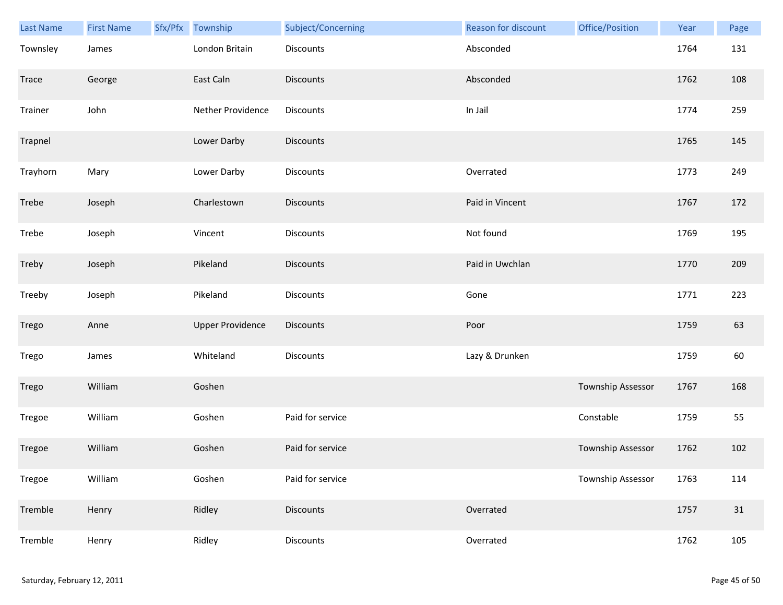| Last Name | <b>First Name</b> | Sfx/Pfx Township        | Subject/Concerning | Reason for discount | Office/Position   | Year | Page |
|-----------|-------------------|-------------------------|--------------------|---------------------|-------------------|------|------|
| Townsley  | James             | London Britain          | Discounts          | Absconded           |                   | 1764 | 131  |
| Trace     | George            | East Caln               | <b>Discounts</b>   | Absconded           |                   | 1762 | 108  |
| Trainer   | John              | Nether Providence       | Discounts          | In Jail             |                   | 1774 | 259  |
| Trapnel   |                   | Lower Darby             | <b>Discounts</b>   |                     |                   | 1765 | 145  |
| Trayhorn  | Mary              | Lower Darby             | Discounts          | Overrated           |                   | 1773 | 249  |
| Trebe     | Joseph            | Charlestown             | <b>Discounts</b>   | Paid in Vincent     |                   | 1767 | 172  |
| Trebe     | Joseph            | Vincent                 | Discounts          | Not found           |                   | 1769 | 195  |
| Treby     | Joseph            | Pikeland                | Discounts          | Paid in Uwchlan     |                   | 1770 | 209  |
| Treeby    | Joseph            | Pikeland                | Discounts          | Gone                |                   | 1771 | 223  |
| Trego     | Anne              | <b>Upper Providence</b> | <b>Discounts</b>   | Poor                |                   | 1759 | 63   |
| Trego     | James             | Whiteland               | Discounts          | Lazy & Drunken      |                   | 1759 | 60   |
| Trego     | William           | Goshen                  |                    |                     | Township Assessor | 1767 | 168  |
| Tregoe    | William           | Goshen                  | Paid for service   |                     | Constable         | 1759 | 55   |
| Tregoe    | William           | Goshen                  | Paid for service   |                     | Township Assessor | 1762 | 102  |
| Tregoe    | William           | Goshen                  | Paid for service   |                     | Township Assessor | 1763 | 114  |
| Tremble   | Henry             | Ridley                  | <b>Discounts</b>   | Overrated           |                   | 1757 | 31   |
| Tremble   | Henry             | Ridley                  | Discounts          | Overrated           |                   | 1762 | 105  |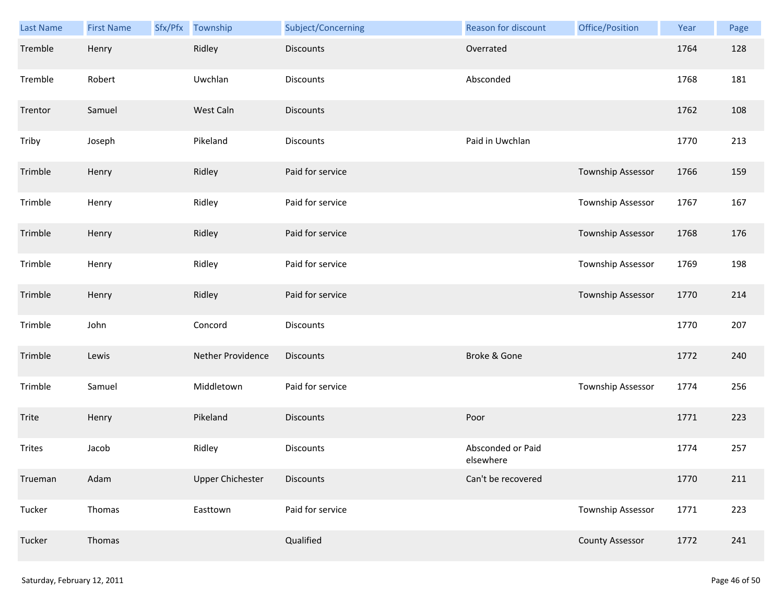| Last Name | <b>First Name</b> | Sfx/Pfx | Township                | Subject/Concerning | Reason for discount            | Office/Position          | Year | Page |
|-----------|-------------------|---------|-------------------------|--------------------|--------------------------------|--------------------------|------|------|
| Tremble   | Henry             |         | Ridley                  | <b>Discounts</b>   | Overrated                      |                          | 1764 | 128  |
| Tremble   | Robert            |         | Uwchlan                 | Discounts          | Absconded                      |                          | 1768 | 181  |
| Trentor   | Samuel            |         | West Caln               | <b>Discounts</b>   |                                |                          | 1762 | 108  |
| Triby     | Joseph            |         | Pikeland                | Discounts          | Paid in Uwchlan                |                          | 1770 | 213  |
| Trimble   | Henry             |         | Ridley                  | Paid for service   |                                | Township Assessor        | 1766 | 159  |
| Trimble   | Henry             |         | Ridley                  | Paid for service   |                                | <b>Township Assessor</b> | 1767 | 167  |
| Trimble   | Henry             |         | Ridley                  | Paid for service   |                                | Township Assessor        | 1768 | 176  |
| Trimble   | Henry             |         | Ridley                  | Paid for service   |                                | Township Assessor        | 1769 | 198  |
| Trimble   | Henry             |         | Ridley                  | Paid for service   |                                | Township Assessor        | 1770 | 214  |
| Trimble   | John              |         | Concord                 | Discounts          |                                |                          | 1770 | 207  |
| Trimble   | Lewis             |         | Nether Providence       | <b>Discounts</b>   | Broke & Gone                   |                          | 1772 | 240  |
| Trimble   | Samuel            |         | Middletown              | Paid for service   |                                | Township Assessor        | 1774 | 256  |
| Trite     | Henry             |         | Pikeland                | <b>Discounts</b>   | Poor                           |                          | 1771 | 223  |
| Trites    | Jacob             |         | Ridley                  | Discounts          | Absconded or Paid<br>elsewhere |                          | 1774 | 257  |
| Trueman   | Adam              |         | <b>Upper Chichester</b> | <b>Discounts</b>   | Can't be recovered             |                          | 1770 | 211  |
| Tucker    | Thomas            |         | Easttown                | Paid for service   |                                | <b>Township Assessor</b> | 1771 | 223  |
| Tucker    | Thomas            |         |                         | Qualified          |                                | <b>County Assessor</b>   | 1772 | 241  |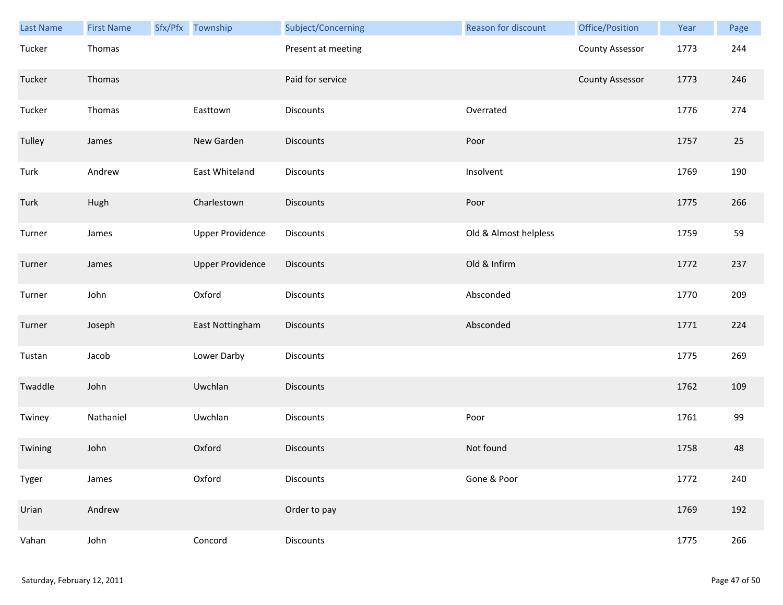| <b>Last Name</b> | <b>First Name</b> | Sfx/Pfx Township        | Subject/Concerning | <b>Reason for discount</b> | Office/Position        | Year | Page |
|------------------|-------------------|-------------------------|--------------------|----------------------------|------------------------|------|------|
| Tucker           | Thomas            |                         | Present at meeting |                            | <b>County Assessor</b> | 1773 | 244  |
| Tucker           | Thomas            |                         | Paid for service   |                            | <b>County Assessor</b> | 1773 | 246  |
| Tucker           | Thomas            | Easttown                | Discounts          | Overrated                  |                        | 1776 | 274  |
| Tulley           | James             | New Garden              | <b>Discounts</b>   | Poor                       |                        | 1757 | 25   |
| Turk             | Andrew            | East Whiteland          | Discounts          | Insolvent                  |                        | 1769 | 190  |
| Turk             | Hugh              | Charlestown             | <b>Discounts</b>   | Poor                       |                        | 1775 | 266  |
| Turner           | James             | <b>Upper Providence</b> | Discounts          | Old & Almost helpless      |                        | 1759 | 59   |
| Turner           | James             | <b>Upper Providence</b> | Discounts          | Old & Infirm               |                        | 1772 | 237  |
| Turner           | John              | Oxford                  | <b>Discounts</b>   | Absconded                  |                        | 1770 | 209  |
| Turner           | Joseph            | East Nottingham         | Discounts          | Absconded                  |                        | 1771 | 224  |
| Tustan           | Jacob             | Lower Darby             | Discounts          |                            |                        | 1775 | 269  |
| Twaddle          | John              | Uwchlan                 | <b>Discounts</b>   |                            |                        | 1762 | 109  |
| Twiney           | Nathaniel         | Uwchlan                 | Discounts          | Poor                       |                        | 1761 | 99   |
| Twining          | John              | Oxford                  | <b>Discounts</b>   | Not found                  |                        | 1758 | 48   |
| Tyger            | James             | Oxford                  | Discounts          | Gone & Poor                |                        | 1772 | 240  |
| Urian            | Andrew            |                         | Order to pay       |                            |                        | 1769 | 192  |
| Vahan            | John              | Concord                 | Discounts          |                            |                        | 1775 | 266  |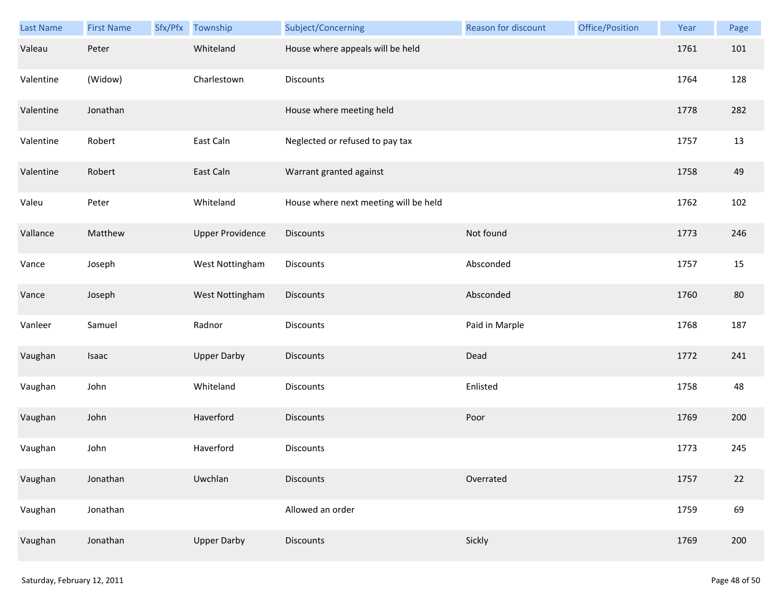| Last Name | <b>First Name</b> | Sfx/Pfx Township        | Subject/Concerning                    | Reason for discount | Office/Position | Year | Page |
|-----------|-------------------|-------------------------|---------------------------------------|---------------------|-----------------|------|------|
| Valeau    | Peter             | Whiteland               | House where appeals will be held      |                     |                 | 1761 | 101  |
| Valentine | (Widow)           | Charlestown             | Discounts                             |                     |                 | 1764 | 128  |
| Valentine | Jonathan          |                         | House where meeting held              |                     |                 | 1778 | 282  |
| Valentine | Robert            | East Caln               | Neglected or refused to pay tax       |                     |                 | 1757 | 13   |
| Valentine | Robert            | East Caln               | Warrant granted against               |                     |                 | 1758 | 49   |
| Valeu     | Peter             | Whiteland               | House where next meeting will be held |                     |                 | 1762 | 102  |
| Vallance  | Matthew           | <b>Upper Providence</b> | <b>Discounts</b>                      | Not found           |                 | 1773 | 246  |
| Vance     | Joseph            | West Nottingham         | Discounts                             | Absconded           |                 | 1757 | 15   |
| Vance     | Joseph            | West Nottingham         | Discounts                             | Absconded           |                 | 1760 | 80   |
| Vanleer   | Samuel            | Radnor                  | Discounts                             | Paid in Marple      |                 | 1768 | 187  |
| Vaughan   | Isaac             | <b>Upper Darby</b>      | <b>Discounts</b>                      | Dead                |                 | 1772 | 241  |
| Vaughan   | John              | Whiteland               | Discounts                             | Enlisted            |                 | 1758 | 48   |
| Vaughan   | John              | Haverford               | Discounts                             | Poor                |                 | 1769 | 200  |
| Vaughan   | John              | Haverford               | <b>Discounts</b>                      |                     |                 | 1773 | 245  |
| Vaughan   | Jonathan          | Uwchlan                 | <b>Discounts</b>                      | Overrated           |                 | 1757 | 22   |
| Vaughan   | Jonathan          |                         | Allowed an order                      |                     |                 | 1759 | 69   |
| Vaughan   | Jonathan          | <b>Upper Darby</b>      | Discounts                             | Sickly              |                 | 1769 | 200  |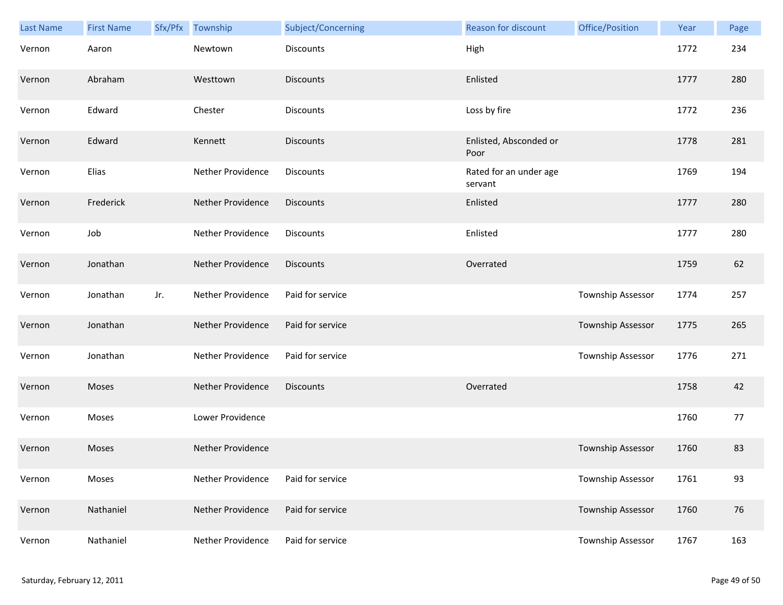| Last Name | <b>First Name</b> | Sfx/Pfx | Township          | Subject/Concerning | <b>Reason for discount</b>        | Office/Position   | Year | Page |
|-----------|-------------------|---------|-------------------|--------------------|-----------------------------------|-------------------|------|------|
| Vernon    | Aaron             |         | Newtown           | Discounts          | High                              |                   | 1772 | 234  |
| Vernon    | Abraham           |         | Westtown          | <b>Discounts</b>   | Enlisted                          |                   | 1777 | 280  |
| Vernon    | Edward            |         | Chester           | Discounts          | Loss by fire                      |                   | 1772 | 236  |
| Vernon    | Edward            |         | Kennett           | <b>Discounts</b>   | Enlisted, Absconded or<br>Poor    |                   | 1778 | 281  |
| Vernon    | Elias             |         | Nether Providence | Discounts          | Rated for an under age<br>servant |                   | 1769 | 194  |
| Vernon    | Frederick         |         | Nether Providence | <b>Discounts</b>   | Enlisted                          |                   | 1777 | 280  |
| Vernon    | Job               |         | Nether Providence | Discounts          | Enlisted                          |                   | 1777 | 280  |
| Vernon    | Jonathan          |         | Nether Providence | <b>Discounts</b>   | Overrated                         |                   | 1759 | 62   |
| Vernon    | Jonathan          | Jr.     | Nether Providence | Paid for service   |                                   | Township Assessor | 1774 | 257  |
| Vernon    | Jonathan          |         | Nether Providence | Paid for service   |                                   | Township Assessor | 1775 | 265  |
| Vernon    | Jonathan          |         | Nether Providence | Paid for service   |                                   | Township Assessor | 1776 | 271  |
| Vernon    | Moses             |         | Nether Providence | <b>Discounts</b>   | Overrated                         |                   | 1758 | 42   |
| Vernon    | Moses             |         | Lower Providence  |                    |                                   |                   | 1760 | 77   |
| Vernon    | Moses             |         | Nether Providence |                    |                                   | Township Assessor | 1760 | 83   |
| Vernon    | Moses             |         | Nether Providence | Paid for service   |                                   | Township Assessor | 1761 | 93   |
| Vernon    | Nathaniel         |         | Nether Providence | Paid for service   |                                   | Township Assessor | 1760 | 76   |
| Vernon    | Nathaniel         |         | Nether Providence | Paid for service   |                                   | Township Assessor | 1767 | 163  |